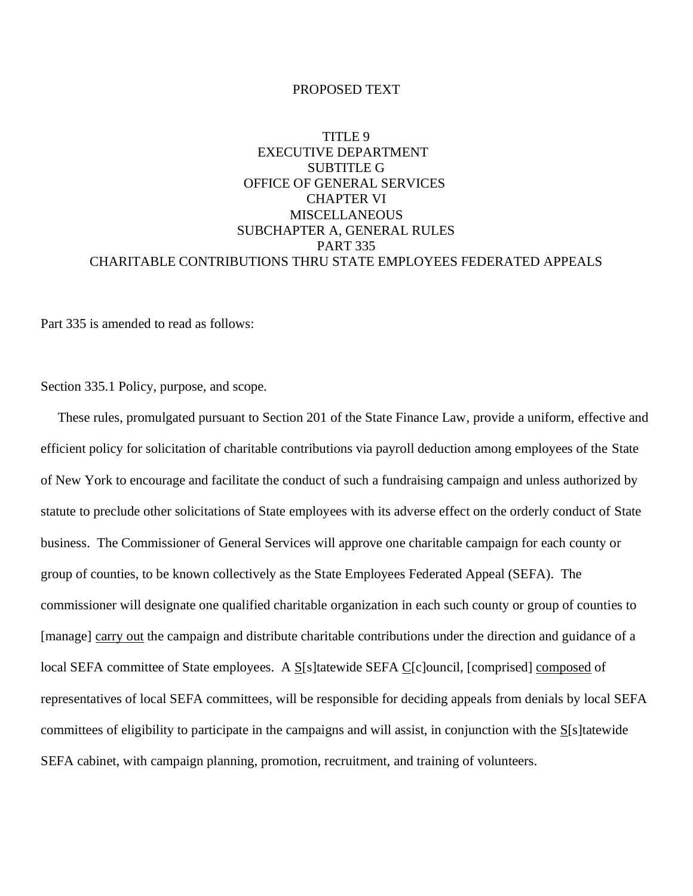#### PROPOSED TEXT

# TITLE 9 EXECUTIVE DEPARTMENT SUBTITLE G OFFICE OF GENERAL SERVICES CHAPTER VI **MISCELLANEOUS** SUBCHAPTER A, GENERAL RULES PART 335 CHARITABLE CONTRIBUTIONS THRU STATE EMPLOYEES FEDERATED APPEALS

Part 335 is amended to read as follows:

Section 335.1 Policy, purpose, and scope.

 These rules, promulgated pursuant to Section 201 of the State Finance Law, provide a uniform, effective and efficient policy for solicitation of charitable contributions via payroll deduction among employees of the State of New York to encourage and facilitate the conduct of such a fundraising campaign and unless authorized by statute to preclude other solicitations of State employees with its adverse effect on the orderly conduct of State business. The Commissioner of General Services will approve one charitable campaign for each county or group of counties, to be known collectively as the State Employees Federated Appeal (SEFA). The commissioner will designate one qualified charitable organization in each such county or group of counties to [manage] carry out the campaign and distribute charitable contributions under the direction and guidance of a local SEFA committee of State employees. A S[s]tatewide SEFA C[c]ouncil, [comprised] composed of representatives of local SEFA committees, will be responsible for deciding appeals from denials by local SEFA committees of eligibility to participate in the campaigns and will assist, in conjunction with the S[s]tatewide SEFA cabinet, with campaign planning, promotion, recruitment, and training of volunteers.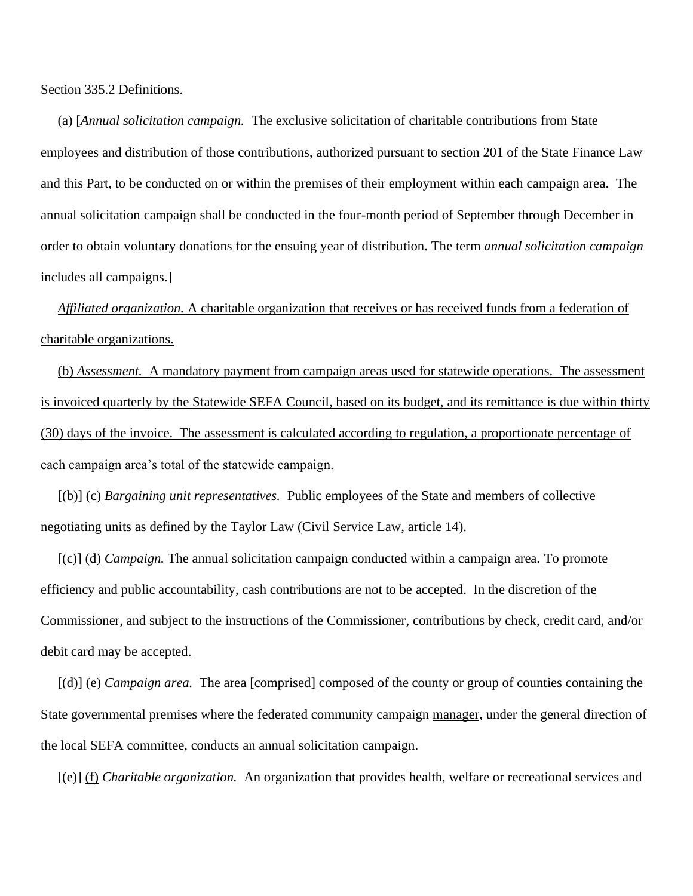Section 335.2 Definitions.

 (a) [*Annual solicitation campaign.* The exclusive solicitation of charitable contributions from State employees and distribution of those contributions, authorized pursuant to section 201 of the State Finance Law and this Part, to be conducted on or within the premises of their employment within each campaign area. The annual solicitation campaign shall be conducted in the four-month period of September through December in order to obtain voluntary donations for the ensuing year of distribution. The term *annual solicitation campaign* includes all campaigns.]

 *Affiliated organization.* A charitable organization that receives or has received funds from a federation of charitable organizations.

 (b) *Assessment.* A mandatory payment from campaign areas used for statewide operations. The assessment is invoiced quarterly by the Statewide SEFA Council, based on its budget, and its remittance is due within thirty (30) days of the invoice. The assessment is calculated according to regulation, a proportionate percentage of each campaign area's total of the statewide campaign.

 [(b)] (c) *Bargaining unit representatives.* Public employees of the State and members of collective negotiating units as defined by the Taylor Law (Civil Service Law, article 14).

 [(c)] (d) *Campaign.* The annual solicitation campaign conducted within a campaign area. To promote efficiency and public accountability, cash contributions are not to be accepted. In the discretion of the Commissioner, and subject to the instructions of the Commissioner, contributions by check, credit card, and/or debit card may be accepted.

 [(d)] (e) *Campaign area.* The area [comprised] composed of the county or group of counties containing the State governmental premises where the federated community campaign manager, under the general direction of the local SEFA committee, conducts an annual solicitation campaign.

[(e)] (f) *Charitable organization.* An organization that provides health, welfare or recreational services and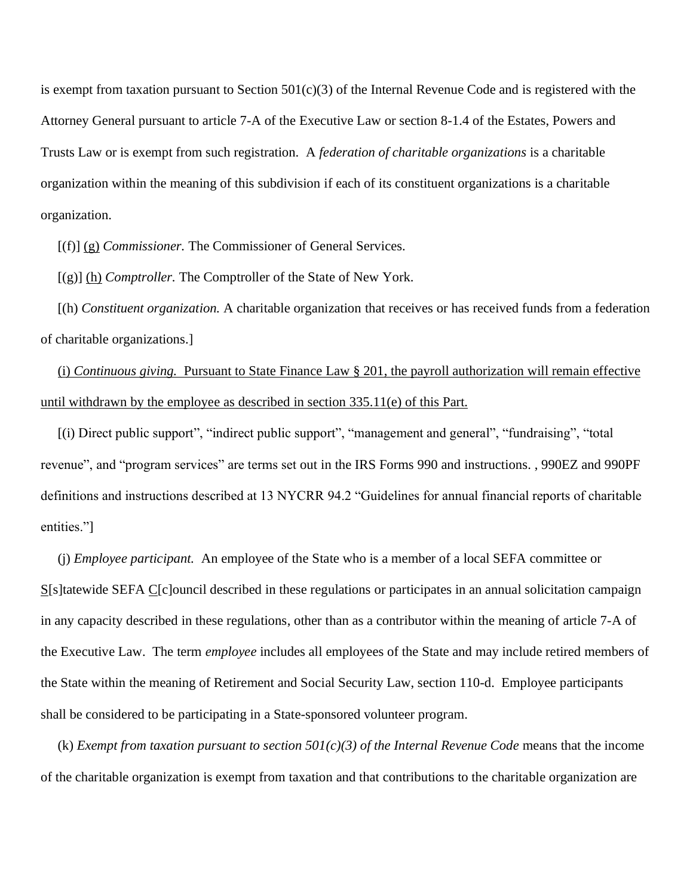is exempt from taxation pursuant to Section 501(c)(3) of the Internal Revenue Code and is registered with the Attorney General pursuant to article 7-A of the Executive Law or section 8-1.4 of the Estates, Powers and Trusts Law or is exempt from such registration. A *federation of charitable organizations* is a charitable organization within the meaning of this subdivision if each of its constituent organizations is a charitable organization.

[(f)] (g) *Commissioner.* The Commissioner of General Services.

[(g)] (h) *Comptroller.* The Comptroller of the State of New York.

 [(h) *Constituent organization.* A charitable organization that receives or has received funds from a federation of charitable organizations.]

 (i) *Continuous giving.* Pursuant to State Finance Law § 201, the payroll authorization will remain effective until withdrawn by the employee as described in section 335.11(e) of this Part.

 [(i) Direct public support", "indirect public support", "management and general", "fundraising", "total revenue", and "program services" are terms set out in the IRS Forms 990 and instructions. , 990EZ and 990PF definitions and instructions described at 13 NYCRR 94.2 "Guidelines for annual financial reports of charitable entities."]

 (j) *Employee participant.* An employee of the State who is a member of a local SEFA committee or S[s]tatewide SEFA C[c]ouncil described in these regulations or participates in an annual solicitation campaign in any capacity described in these regulations, other than as a contributor within the meaning of article 7-A of the Executive Law. The term *employee* includes all employees of the State and may include retired members of the State within the meaning of Retirement and Social Security Law, section 110-d. Employee participants shall be considered to be participating in a State-sponsored volunteer program.

(k) *Exempt from taxation pursuant to section 501(c)(3) of the Internal Revenue Code* means that the income of the charitable organization is exempt from taxation and that contributions to the charitable organization are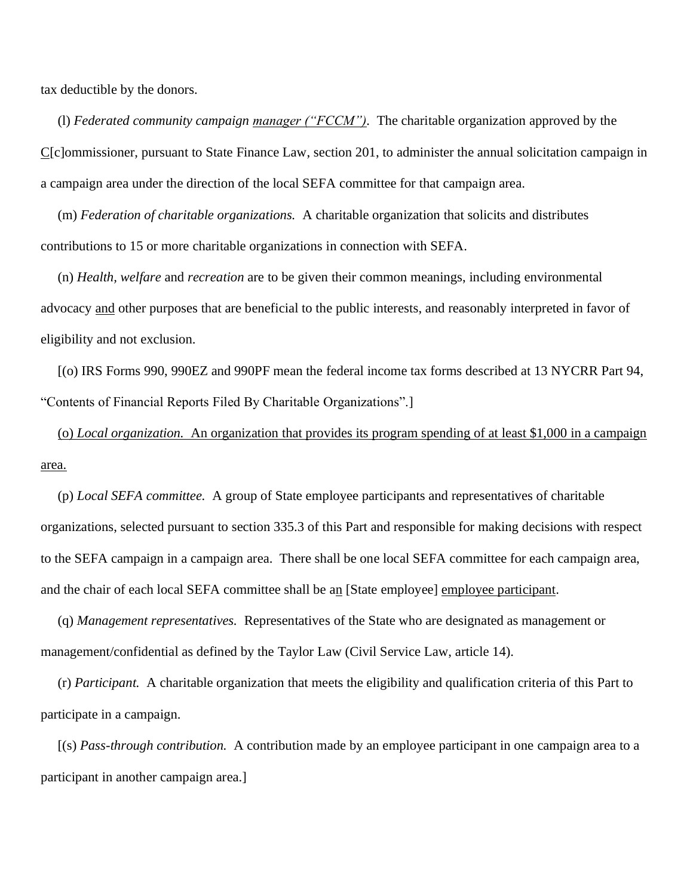tax deductible by the donors.

 (l) *Federated community campaign manager ("FCCM").* The charitable organization approved by the C[c]ommissioner, pursuant to State Finance Law, section 201, to administer the annual solicitation campaign in a campaign area under the direction of the local SEFA committee for that campaign area.

 (m) *Federation of charitable organizations.* A charitable organization that solicits and distributes contributions to 15 or more charitable organizations in connection with SEFA.

 (n) *Health, welfare* and *recreation* are to be given their common meanings, including environmental advocacy and other purposes that are beneficial to the public interests, and reasonably interpreted in favor of eligibility and not exclusion.

 [(o) IRS Forms 990, 990EZ and 990PF mean the federal income tax forms described at 13 NYCRR Part 94, "Contents of Financial Reports Filed By Charitable Organizations".]

 (o) *Local organization.* An organization that provides its program spending of at least \$1,000 in a campaign area.

 (p) *Local SEFA committee.* A group of State employee participants and representatives of charitable organizations, selected pursuant to section 335.3 of this Part and responsible for making decisions with respect to the SEFA campaign in a campaign area. There shall be one local SEFA committee for each campaign area, and the chair of each local SEFA committee shall be an [State employee] employee participant.

 (q) *Management representatives.* Representatives of the State who are designated as management or management/confidential as defined by the Taylor Law (Civil Service Law, article 14).

 (r) *Participant.* A charitable organization that meets the eligibility and qualification criteria of this Part to participate in a campaign.

 [(s) *Pass-through contribution.* A contribution made by an employee participant in one campaign area to a participant in another campaign area.]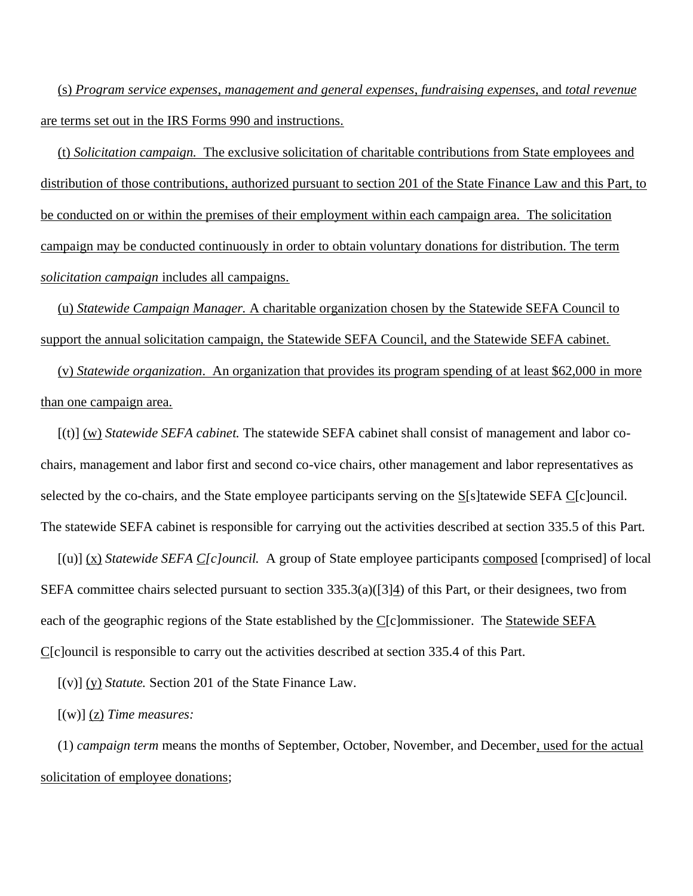(s) *Program service expenses, management and general expenses*, *fundraising expenses*, and *total revenue* are terms set out in the IRS Forms 990 and instructions.

 (t) *Solicitation campaign.* The exclusive solicitation of charitable contributions from State employees and distribution of those contributions, authorized pursuant to section 201 of the State Finance Law and this Part, to be conducted on or within the premises of their employment within each campaign area. The solicitation campaign may be conducted continuously in order to obtain voluntary donations for distribution. The term *solicitation campaign* includes all campaigns.

 (u) *Statewide Campaign Manager.* A charitable organization chosen by the Statewide SEFA Council to support the annual solicitation campaign, the Statewide SEFA Council, and the Statewide SEFA cabinet.

 (v) *Statewide organization*. An organization that provides its program spending of at least \$62,000 in more than one campaign area.

 [(t)] (w) *Statewide SEFA cabinet.* The statewide SEFA cabinet shall consist of management and labor cochairs, management and labor first and second co-vice chairs, other management and labor representatives as selected by the co-chairs, and the State employee participants serving on the S[s]tatewide SEFA C[c]ouncil. The statewide SEFA cabinet is responsible for carrying out the activities described at section 335.5 of this Part.

 [(u)] (x) *Statewide SEFA C[c]ouncil.* A group of State employee participants composed [comprised] of local SEFA committee chairs selected pursuant to section 335.3(a)([3]4) of this Part, or their designees, two from each of the geographic regions of the State established by the  $C[c]$ ommissioner. The Statewide SEFA C[c]ouncil is responsible to carry out the activities described at section 335.4 of this Part.

[(v)] (y) *Statute.* Section 201 of the State Finance Law.

[(w)] (z) *Time measures:*

 (1) *campaign term* means the months of September, October, November, and December, used for the actual solicitation of employee donations;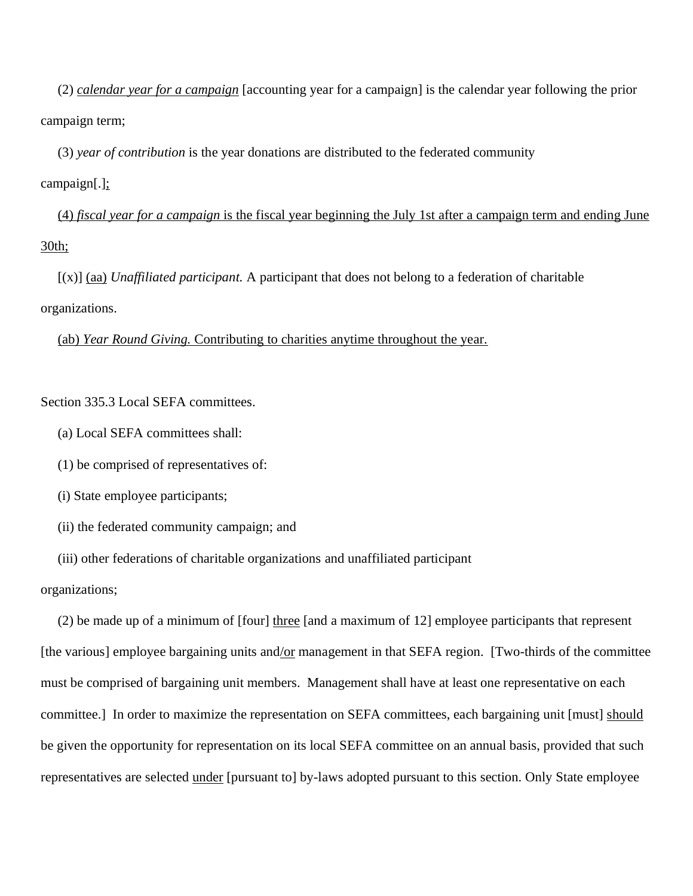(2) *calendar year for a campaign* [accounting year for a campaign] is the calendar year following the prior campaign term;

(3) *year of contribution* is the year donations are distributed to the federated community

campaign[.];

 (4) *fiscal year for a campaign* is the fiscal year beginning the July 1st after a campaign term and ending June 30th;

 [(x)] (aa) *Unaffiliated participant.* A participant that does not belong to a federation of charitable organizations.

(ab) *Year Round Giving.* Contributing to charities anytime throughout the year.

Section 335.3 Local SEFA committees.

(a) Local SEFA committees shall:

(1) be comprised of representatives of:

(i) State employee participants;

(ii) the federated community campaign; and

(iii) other federations of charitable organizations and unaffiliated participant

organizations;

 (2) be made up of a minimum of [four] three [and a maximum of 12] employee participants that represent [the various] employee bargaining units and/or management in that SEFA region. [Two-thirds of the committee must be comprised of bargaining unit members. Management shall have at least one representative on each committee.] In order to maximize the representation on SEFA committees, each bargaining unit [must] should be given the opportunity for representation on its local SEFA committee on an annual basis, provided that such representatives are selected under [pursuant to] by-laws adopted pursuant to this section. Only State employee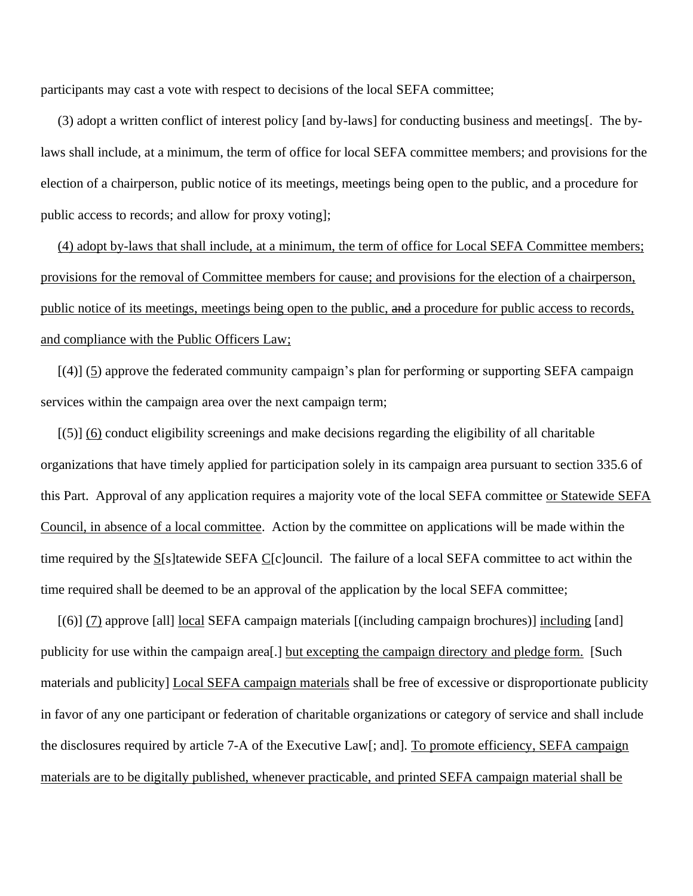participants may cast a vote with respect to decisions of the local SEFA committee;

 (3) adopt a written conflict of interest policy [and by-laws] for conducting business and meetings[. The bylaws shall include, at a minimum, the term of office for local SEFA committee members; and provisions for the election of a chairperson, public notice of its meetings, meetings being open to the public, and a procedure for public access to records; and allow for proxy voting];

 (4) adopt by-laws that shall include, at a minimum, the term of office for Local SEFA Committee members; provisions for the removal of Committee members for cause; and provisions for the election of a chairperson, public notice of its meetings, meetings being open to the public, and a procedure for public access to records, and compliance with the Public Officers Law;

 $[(4)]$  (5) approve the federated community campaign's plan for performing or supporting SEFA campaign services within the campaign area over the next campaign term;

 [(5)] (6) conduct eligibility screenings and make decisions regarding the eligibility of all charitable organizations that have timely applied for participation solely in its campaign area pursuant to section 335.6 of this Part. Approval of any application requires a majority vote of the local SEFA committee or Statewide SEFA Council, in absence of a local committee. Action by the committee on applications will be made within the time required by the  $S[s]$ tatewide SEFA  $C[c]$ ouncil. The failure of a local SEFA committee to act within the time required shall be deemed to be an approval of the application by the local SEFA committee;

 [(6)] (7) approve [all] local SEFA campaign materials [(including campaign brochures)] including [and] publicity for use within the campaign area[.] but excepting the campaign directory and pledge form. [Such materials and publicity] Local SEFA campaign materials shall be free of excessive or disproportionate publicity in favor of any one participant or federation of charitable organizations or category of service and shall include the disclosures required by article 7-A of the Executive Law[; and]. To promote efficiency, SEFA campaign materials are to be digitally published, whenever practicable, and printed SEFA campaign material shall be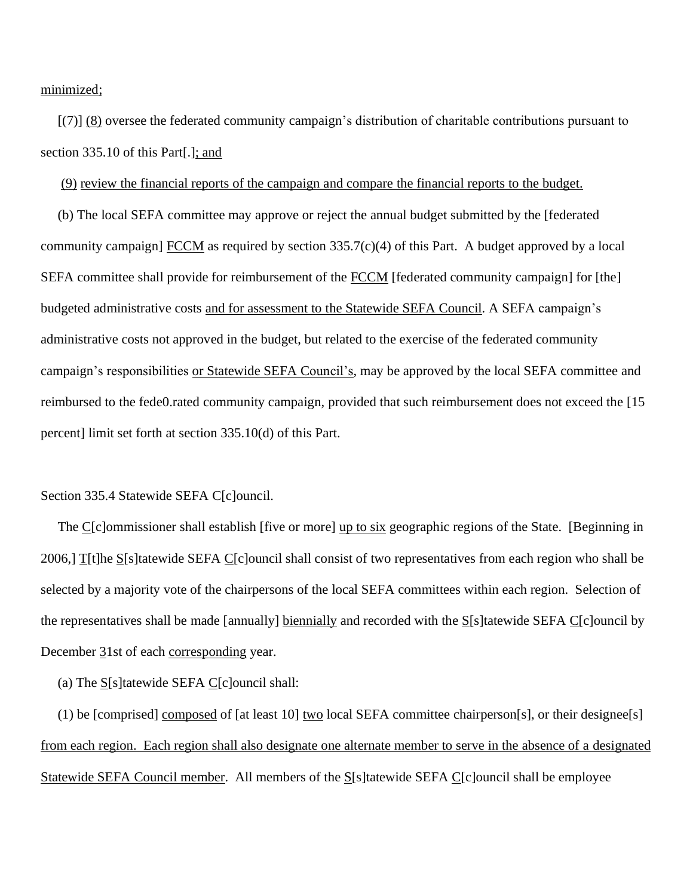minimized;

 [(7)] (8) oversee the federated community campaign's distribution of charitable contributions pursuant to section 335.10 of this Part[.]; and

(9) review the financial reports of the campaign and compare the financial reports to the budget.

 (b) The local SEFA committee may approve or reject the annual budget submitted by the [federated community campaign]  $\overline{FCCM}$  as required by section 335.7(c)(4) of this Part. A budget approved by a local SEFA committee shall provide for reimbursement of the FCCM [federated community campaign] for [the] budgeted administrative costs and for assessment to the Statewide SEFA Council. A SEFA campaign's administrative costs not approved in the budget, but related to the exercise of the federated community campaign's responsibilities or Statewide SEFA Council's, may be approved by the local SEFA committee and reimbursed to the fede0.rated community campaign, provided that such reimbursement does not exceed the [15 percent] limit set forth at section 335.10(d) of this Part.

#### Section 335.4 Statewide SEFA C[c]ouncil.

The C[c]ommissioner shall establish [five or more] up to six geographic regions of the State. [Beginning in 2006,] T[t]he S[s]tatewide SEFA C[c]ouncil shall consist of two representatives from each region who shall be selected by a majority vote of the chairpersons of the local SEFA committees within each region. Selection of the representatives shall be made [annually] biennially and recorded with the S[s]tatewide SEFA C[c]ouncil by December 31st of each corresponding year.

(a) The S[s]tatewide SEFA C[c]ouncil shall:

 (1) be [comprised] composed of [at least 10] two local SEFA committee chairperson[s], or their designee[s] from each region. Each region shall also designate one alternate member to serve in the absence of a designated Statewide SEFA Council member. All members of the S[s]tatewide SEFA C[c]ouncil shall be employee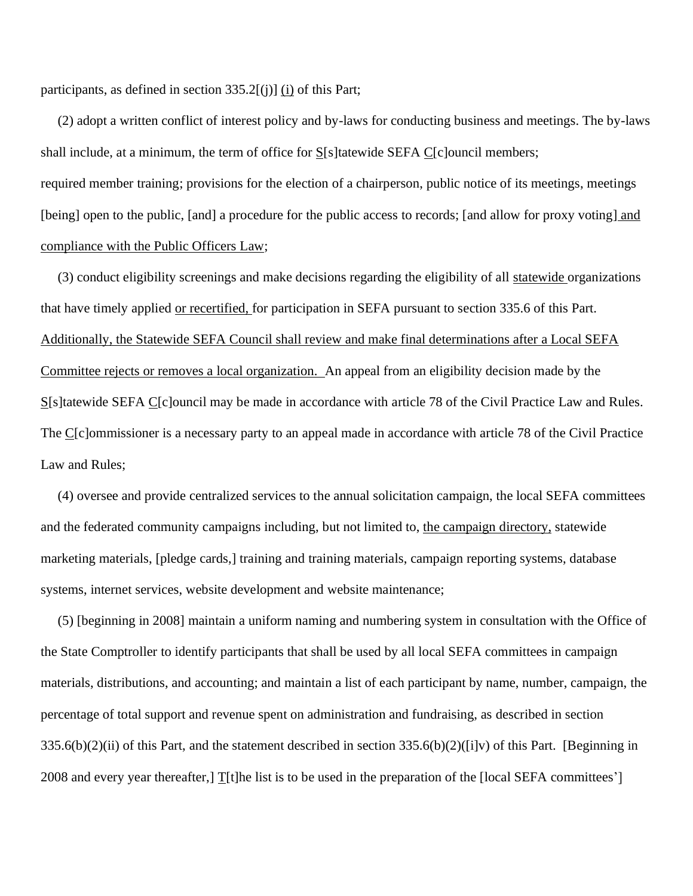participants, as defined in section  $335.2$ [(j)] (i) of this Part;

 (2) adopt a written conflict of interest policy and by-laws for conducting business and meetings. The by-laws shall include, at a minimum, the term of office for S[s]tatewide SEFA C[c]ouncil members; required member training; provisions for the election of a chairperson, public notice of its meetings, meetings [being] open to the public, [and] a procedure for the public access to records; [and allow for proxy voting] and

compliance with the Public Officers Law;

 (3) conduct eligibility screenings and make decisions regarding the eligibility of all statewide organizations that have timely applied or recertified, for participation in SEFA pursuant to section 335.6 of this Part. Additionally, the Statewide SEFA Council shall review and make final determinations after a Local SEFA Committee rejects or removes a local organization. An appeal from an eligibility decision made by the S[s]tatewide SEFA C[c]ouncil may be made in accordance with article 78 of the Civil Practice Law and Rules. The C[c]ommissioner is a necessary party to an appeal made in accordance with article 78 of the Civil Practice Law and Rules;

 (4) oversee and provide centralized services to the annual solicitation campaign, the local SEFA committees and the federated community campaigns including, but not limited to, the campaign directory, statewide marketing materials, [pledge cards,] training and training materials, campaign reporting systems, database systems, internet services, website development and website maintenance;

 (5) [beginning in 2008] maintain a uniform naming and numbering system in consultation with the Office of the State Comptroller to identify participants that shall be used by all local SEFA committees in campaign materials, distributions, and accounting; and maintain a list of each participant by name, number, campaign, the percentage of total support and revenue spent on administration and fundraising, as described in section 335.6(b)(2)(ii) of this Part, and the statement described in section 335.6(b)(2)([i]v) of this Part. [Beginning in 2008 and every year thereafter,]  $T[t]$ he list is to be used in the preparation of the [local SEFA committees']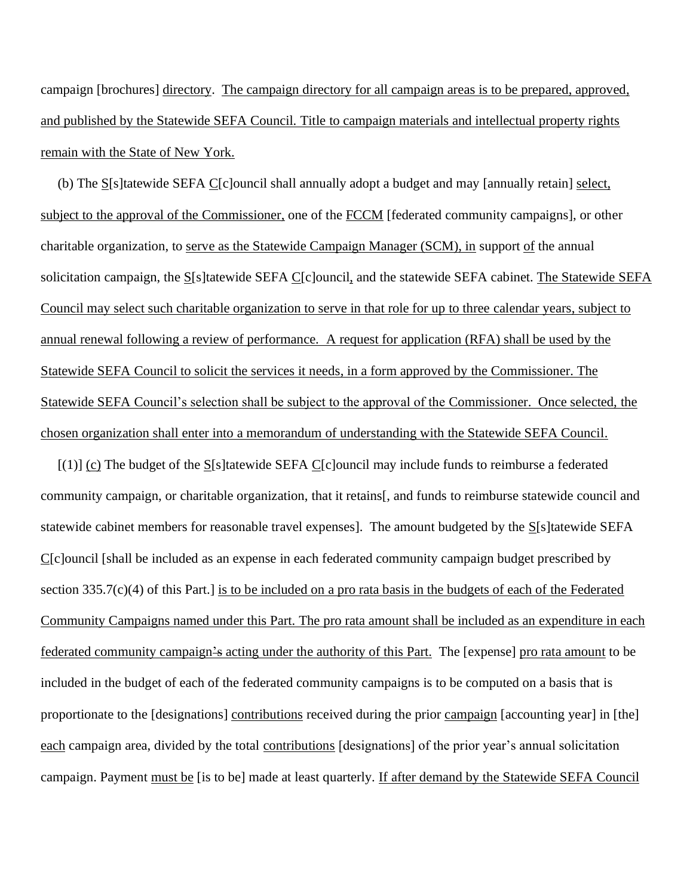campaign [brochures] directory. The campaign directory for all campaign areas is to be prepared, approved, and published by the Statewide SEFA Council. Title to campaign materials and intellectual property rights remain with the State of New York.

 (b) The S[s]tatewide SEFA C[c]ouncil shall annually adopt a budget and may [annually retain] select, subject to the approval of the Commissioner, one of the FCCM [federated community campaigns], or other charitable organization, to serve as the Statewide Campaign Manager (SCM), in support of the annual solicitation campaign, the S[s]tatewide SEFA C[c]ouncil, and the statewide SEFA cabinet. The Statewide SEFA Council may select such charitable organization to serve in that role for up to three calendar years, subject to annual renewal following a review of performance. A request for application (RFA) shall be used by the Statewide SEFA Council to solicit the services it needs, in a form approved by the Commissioner. The Statewide SEFA Council's selection shall be subject to the approval of the Commissioner. Once selected, the chosen organization shall enter into a memorandum of understanding with the Statewide SEFA Council.

 $[(1)]$  (c) The budget of the S[s]tatewide SEFA C[c]ouncil may include funds to reimburse a federated community campaign, or charitable organization, that it retains[, and funds to reimburse statewide council and statewide cabinet members for reasonable travel expenses]. The amount budgeted by the S[s]tatewide SEFA C[c]ouncil [shall be included as an expense in each federated community campaign budget prescribed by section 335.7(c)(4) of this Part.] is to be included on a pro rata basis in the budgets of each of the Federated Community Campaigns named under this Part. The pro rata amount shall be included as an expenditure in each federated community campaign's acting under the authority of this Part. The [expense] pro rata amount to be included in the budget of each of the federated community campaigns is to be computed on a basis that is proportionate to the [designations] contributions received during the prior campaign [accounting year] in [the] each campaign area, divided by the total contributions [designations] of the prior year's annual solicitation campaign. Payment must be [is to be] made at least quarterly. If after demand by the Statewide SEFA Council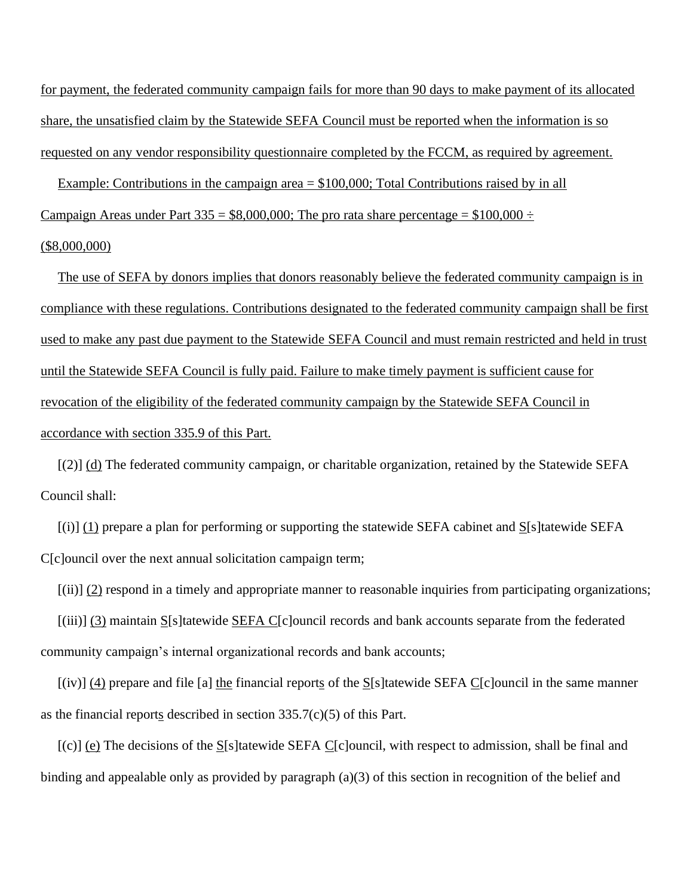for payment, the federated community campaign fails for more than 90 days to make payment of its allocated share, the unsatisfied claim by the Statewide SEFA Council must be reported when the information is so requested on any vendor responsibility questionnaire completed by the FCCM, as required by agreement.

Example: Contributions in the campaign area  $=$  \$100,000; Total Contributions raised by in all Campaign Areas under Part 335 =  $$8,000,000$ ; The pro rata share percentage =  $$100,000 \div$ 

## (\$8,000,000)

 The use of SEFA by donors implies that donors reasonably believe the federated community campaign is in compliance with these regulations. Contributions designated to the federated community campaign shall be first used to make any past due payment to the Statewide SEFA Council and must remain restricted and held in trust until the Statewide SEFA Council is fully paid. Failure to make timely payment is sufficient cause for revocation of the eligibility of the federated community campaign by the Statewide SEFA Council in accordance with section 335.9 of this Part.

 [(2)] (d) The federated community campaign, or charitable organization, retained by the Statewide SEFA Council shall:

 $[(i)]$  (1) prepare a plan for performing or supporting the statewide SEFA cabinet and S[s]tatewide SEFA C[c]ouncil over the next annual solicitation campaign term;

[(ii)] (2) respond in a timely and appropriate manner to reasonable inquiries from participating organizations;

 [(iii)] (3) maintain S[s]tatewide SEFA C[c]ouncil records and bank accounts separate from the federated community campaign's internal organizational records and bank accounts;

 [(iv)] (4) prepare and file [a] the financial reports of the S[s]tatewide SEFA C[c]ouncil in the same manner as the financial reports described in section 335.7(c)(5) of this Part.

 $[(c)]$  (e) The decisions of the S[s]tatewide SEFA C[c]ouncil, with respect to admission, shall be final and binding and appealable only as provided by paragraph (a)(3) of this section in recognition of the belief and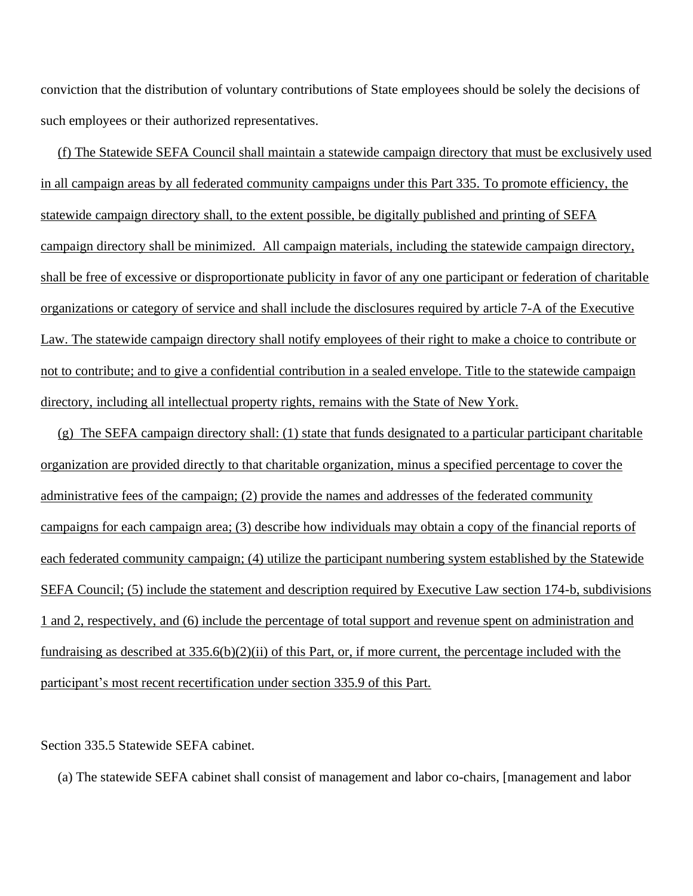conviction that the distribution of voluntary contributions of State employees should be solely the decisions of such employees or their authorized representatives.

 (f) The Statewide SEFA Council shall maintain a statewide campaign directory that must be exclusively used in all campaign areas by all federated community campaigns under this Part 335. To promote efficiency, the statewide campaign directory shall, to the extent possible, be digitally published and printing of SEFA campaign directory shall be minimized. All campaign materials, including the statewide campaign directory, shall be free of excessive or disproportionate publicity in favor of any one participant or federation of charitable organizations or category of service and shall include the disclosures required by article 7-A of the Executive Law. The statewide campaign directory shall notify employees of their right to make a choice to contribute or not to contribute; and to give a confidential contribution in a sealed envelope. Title to the statewide campaign directory, including all intellectual property rights, remains with the State of New York.

 (g) The SEFA campaign directory shall: (1) state that funds designated to a particular participant charitable organization are provided directly to that charitable organization, minus a specified percentage to cover the administrative fees of the campaign; (2) provide the names and addresses of the federated community campaigns for each campaign area; (3) describe how individuals may obtain a copy of the financial reports of each federated community campaign; (4) utilize the participant numbering system established by the Statewide SEFA Council; (5) include the statement and description required by Executive Law section 174-b, subdivisions 1 and 2, respectively, and (6) include the percentage of total support and revenue spent on administration and fundraising as described at 335.6(b)(2)(ii) of this Part, or, if more current, the percentage included with the participant's most recent recertification under section 335.9 of this Part.

## Section 335.5 Statewide SEFA cabinet.

(a) The statewide SEFA cabinet shall consist of management and labor co-chairs, [management and labor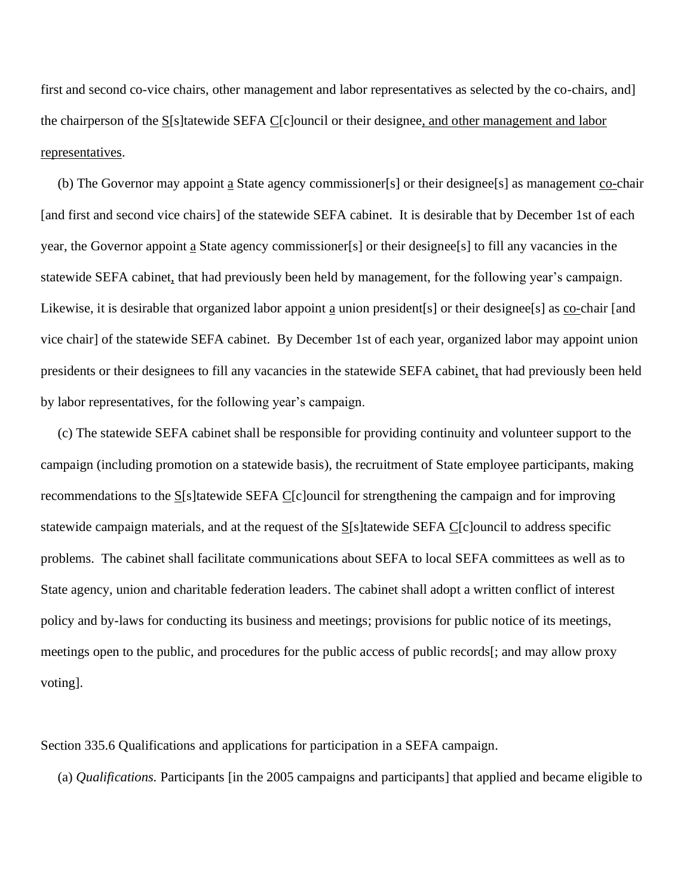first and second co-vice chairs, other management and labor representatives as selected by the co-chairs, and] the chairperson of the S[s]tatewide SEFA C[c]ouncil or their designee, and other management and labor representatives.

 (b) The Governor may appoint a State agency commissioner[s] or their designee[s] as management co-chair [and first and second vice chairs] of the statewide SEFA cabinet. It is desirable that by December 1st of each year, the Governor appoint a State agency commissioner[s] or their designee[s] to fill any vacancies in the statewide SEFA cabinet, that had previously been held by management, for the following year's campaign. Likewise, it is desirable that organized labor appoint a union president[s] or their designee[s] as co-chair [and vice chair] of the statewide SEFA cabinet. By December 1st of each year, organized labor may appoint union presidents or their designees to fill any vacancies in the statewide SEFA cabinet, that had previously been held by labor representatives, for the following year's campaign.

 (c) The statewide SEFA cabinet shall be responsible for providing continuity and volunteer support to the campaign (including promotion on a statewide basis), the recruitment of State employee participants, making recommendations to the S[s]tatewide SEFA C[c]ouncil for strengthening the campaign and for improving statewide campaign materials, and at the request of the  $S[s]$ tatewide SEFA C[c]ouncil to address specific problems. The cabinet shall facilitate communications about SEFA to local SEFA committees as well as to State agency, union and charitable federation leaders. The cabinet shall adopt a written conflict of interest policy and by-laws for conducting its business and meetings; provisions for public notice of its meetings, meetings open to the public, and procedures for the public access of public records[; and may allow proxy voting].

Section 335.6 Qualifications and applications for participation in a SEFA campaign.

(a) *Qualifications.* Participants [in the 2005 campaigns and participants] that applied and became eligible to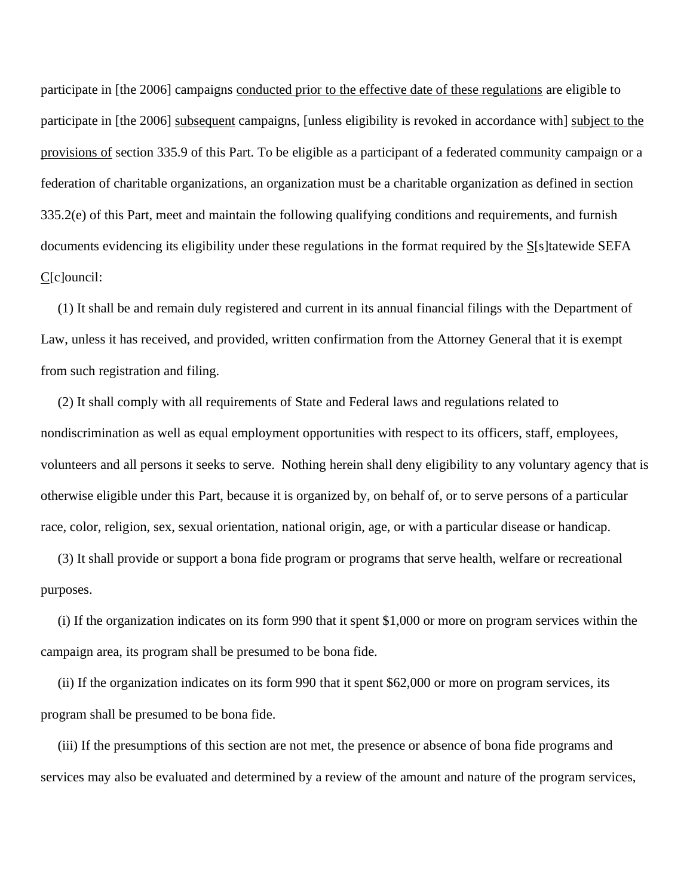participate in [the 2006] campaigns conducted prior to the effective date of these regulations are eligible to participate in [the 2006] subsequent campaigns, [unless eligibility is revoked in accordance with] subject to the provisions of section 335.9 of this Part. To be eligible as a participant of a federated community campaign or a federation of charitable organizations, an organization must be a charitable organization as defined in section 335.2(e) of this Part, meet and maintain the following qualifying conditions and requirements, and furnish documents evidencing its eligibility under these regulations in the format required by the S[s]tatewide SEFA C[c]ouncil:

 (1) It shall be and remain duly registered and current in its annual financial filings with the Department of Law, unless it has received, and provided, written confirmation from the Attorney General that it is exempt from such registration and filing.

 (2) It shall comply with all requirements of State and Federal laws and regulations related to nondiscrimination as well as equal employment opportunities with respect to its officers, staff, employees, volunteers and all persons it seeks to serve. Nothing herein shall deny eligibility to any voluntary agency that is otherwise eligible under this Part, because it is organized by, on behalf of, or to serve persons of a particular race, color, religion, sex, sexual orientation, national origin, age, or with a particular disease or handicap.

 (3) It shall provide or support a bona fide program or programs that serve health, welfare or recreational purposes.

 (i) If the organization indicates on its form 990 that it spent \$1,000 or more on program services within the campaign area, its program shall be presumed to be bona fide.

 (ii) If the organization indicates on its form 990 that it spent \$62,000 or more on program services, its program shall be presumed to be bona fide.

 (iii) If the presumptions of this section are not met, the presence or absence of bona fide programs and services may also be evaluated and determined by a review of the amount and nature of the program services,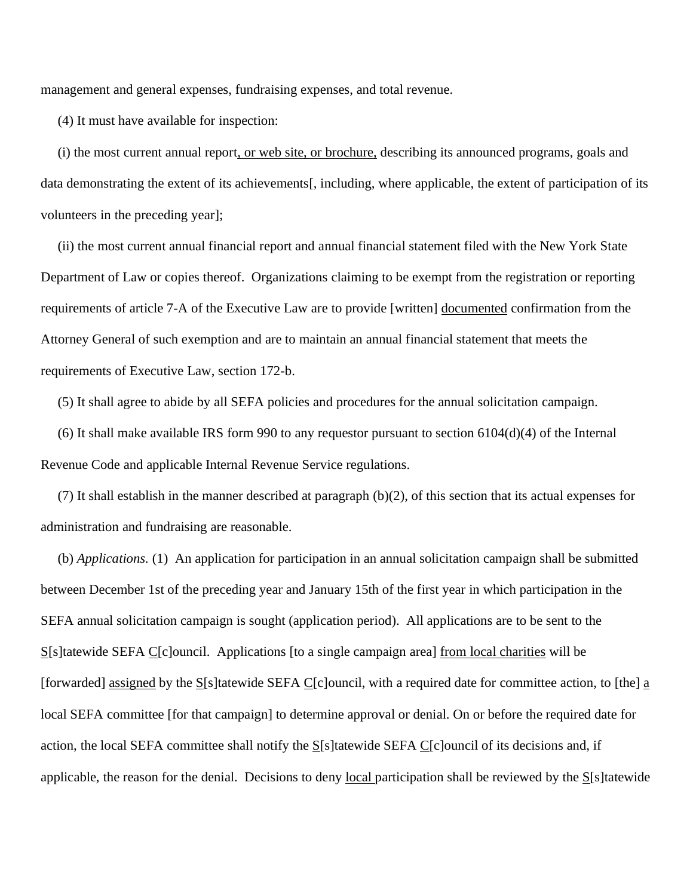management and general expenses, fundraising expenses, and total revenue.

(4) It must have available for inspection:

 (i) the most current annual report, or web site, or brochure, describing its announced programs, goals and data demonstrating the extent of its achievements[, including, where applicable, the extent of participation of its volunteers in the preceding year];

 (ii) the most current annual financial report and annual financial statement filed with the New York State Department of Law or copies thereof. Organizations claiming to be exempt from the registration or reporting requirements of article 7-A of the Executive Law are to provide [written] documented confirmation from the Attorney General of such exemption and are to maintain an annual financial statement that meets the requirements of Executive Law, section 172-b.

(5) It shall agree to abide by all SEFA policies and procedures for the annual solicitation campaign.

(6) It shall make available IRS form 990 to any requestor pursuant to section  $6104(d)(4)$  of the Internal Revenue Code and applicable Internal Revenue Service regulations.

 (7) It shall establish in the manner described at paragraph (b)(2), of this section that its actual expenses for administration and fundraising are reasonable.

 (b) *Applications.* (1) An application for participation in an annual solicitation campaign shall be submitted between December 1st of the preceding year and January 15th of the first year in which participation in the SEFA annual solicitation campaign is sought (application period). All applications are to be sent to the S[s]tatewide SEFA C[c]ouncil. Applications [to a single campaign area] from local charities will be [forwarded] assigned by the S[s]tatewide SEFA C[c]ouncil, with a required date for committee action, to [the] a local SEFA committee [for that campaign] to determine approval or denial. On or before the required date for action, the local SEFA committee shall notify the  $S[**s**]$  tatewide SEFA C[c]ouncil of its decisions and, if applicable, the reason for the denial. Decisions to deny local participation shall be reviewed by the  $S[s]$  tatewide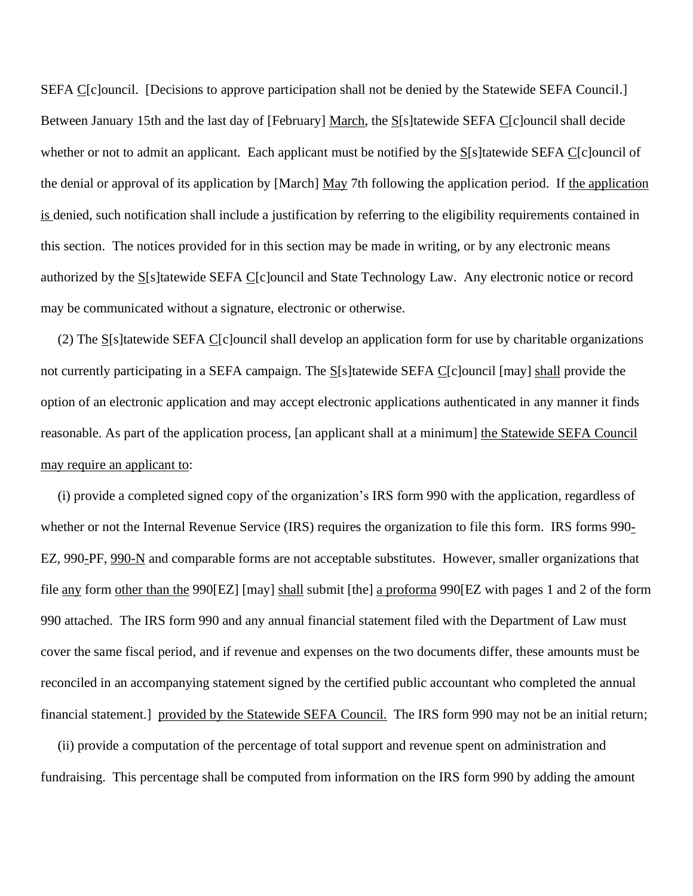SEFA C[c]ouncil. [Decisions to approve participation shall not be denied by the Statewide SEFA Council.] Between January 15th and the last day of [February] March, the S[s]tatewide SEFA C[c]ouncil shall decide whether or not to admit an applicant. Each applicant must be notified by the S[s]tatewide SEFA C[c]ouncil of the denial or approval of its application by [March] May 7th following the application period. If the application is denied, such notification shall include a justification by referring to the eligibility requirements contained in this section. The notices provided for in this section may be made in writing, or by any electronic means authorized by the S[s]tatewide SEFA C[c]ouncil and State Technology Law. Any electronic notice or record may be communicated without a signature, electronic or otherwise.

 (2) The S[s]tatewide SEFA C[c]ouncil shall develop an application form for use by charitable organizations not currently participating in a SEFA campaign. The S[s]tatewide SEFA C[c]ouncil [may] shall provide the option of an electronic application and may accept electronic applications authenticated in any manner it finds reasonable. As part of the application process, [an applicant shall at a minimum] the Statewide SEFA Council may require an applicant to:

 (i) provide a completed signed copy of the organization's IRS form 990 with the application, regardless of whether or not the Internal Revenue Service (IRS) requires the organization to file this form. IRS forms 990-EZ, 990-PF, 990-N and comparable forms are not acceptable substitutes. However, smaller organizations that file any form other than the 990[EZ] [may] shall submit [the] a proforma 990[EZ with pages 1 and 2 of the form 990 attached. The IRS form 990 and any annual financial statement filed with the Department of Law must cover the same fiscal period, and if revenue and expenses on the two documents differ, these amounts must be reconciled in an accompanying statement signed by the certified public accountant who completed the annual financial statement.] provided by the Statewide SEFA Council. The IRS form 990 may not be an initial return;

 (ii) provide a computation of the percentage of total support and revenue spent on administration and fundraising. This percentage shall be computed from information on the IRS form 990 by adding the amount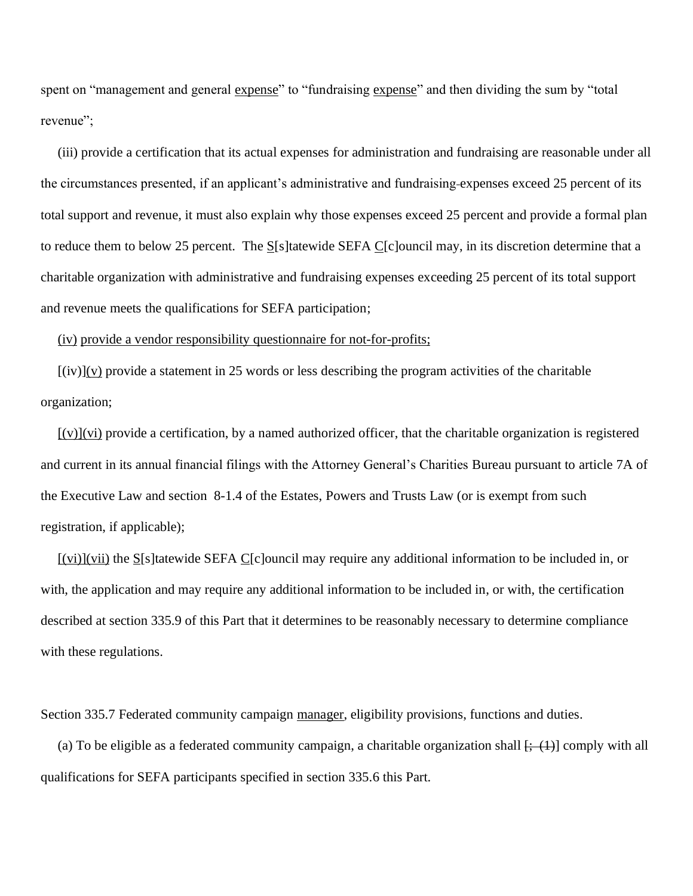spent on "management and general expense" to "fundraising expense" and then dividing the sum by "total revenue":

 (iii) provide a certification that its actual expenses for administration and fundraising are reasonable under all the circumstances presented, if an applicant's administrative and fundraising expenses exceed 25 percent of its total support and revenue, it must also explain why those expenses exceed 25 percent and provide a formal plan to reduce them to below 25 percent. The  $S[**s**]$  tatewide SEFA C[c]ouncil may, in its discretion determine that a charitable organization with administrative and fundraising expenses exceeding 25 percent of its total support and revenue meets the qualifications for SEFA participation;

#### (iv) provide a vendor responsibility questionnaire for not-for-profits;

 $[(iv)](v)$  provide a statement in 25 words or less describing the program activities of the charitable organization;

 $[(v)](vi)$  provide a certification, by a named authorized officer, that the charitable organization is registered and current in its annual financial filings with the Attorney General's Charities Bureau pursuant to article 7A of the Executive Law and section 8-1.4 of the Estates, Powers and Trusts Law (or is exempt from such registration, if applicable);

 [(vi)](vii) the S[s]tatewide SEFA C[c]ouncil may require any additional information to be included in, or with, the application and may require any additional information to be included in, or with, the certification described at section 335.9 of this Part that it determines to be reasonably necessary to determine compliance with these regulations.

Section 335.7 Federated community campaign manager, eligibility provisions, functions and duties.

(a) To be eligible as a federated community campaign, a charitable organization shall  $[$ ;  $(1)$  comply with all qualifications for SEFA participants specified in section 335.6 this Part.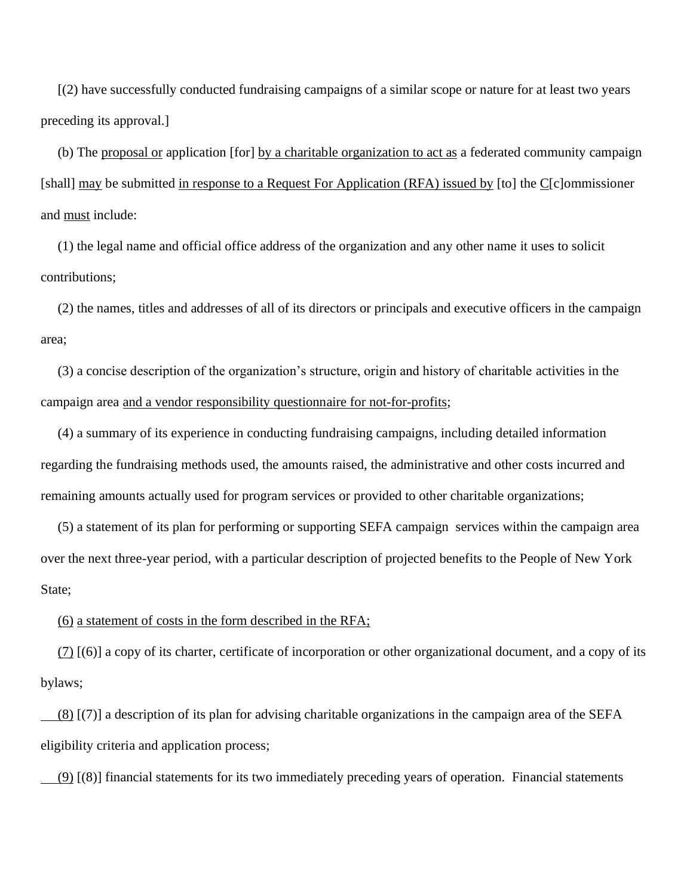[(2) have successfully conducted fundraising campaigns of a similar scope or nature for at least two years preceding its approval.]

 (b) The proposal or application [for] by a charitable organization to act as a federated community campaign [shall] may be submitted in response to a Request For Application (RFA) issued by [to] the C[c]ommissioner and must include:

 (1) the legal name and official office address of the organization and any other name it uses to solicit contributions;

 (2) the names, titles and addresses of all of its directors or principals and executive officers in the campaign area;

 (3) a concise description of the organization's structure, origin and history of charitable activities in the campaign area and a vendor responsibility questionnaire for not-for-profits;

 (4) a summary of its experience in conducting fundraising campaigns, including detailed information regarding the fundraising methods used, the amounts raised, the administrative and other costs incurred and remaining amounts actually used for program services or provided to other charitable organizations;

 (5) a statement of its plan for performing or supporting SEFA campaign services within the campaign area over the next three-year period, with a particular description of projected benefits to the People of New York State;

#### (6) a statement of costs in the form described in the RFA;

 $(7)$  [(6)] a copy of its charter, certificate of incorporation or other organizational document, and a copy of its bylaws;

 (8) [(7)] a description of its plan for advising charitable organizations in the campaign area of the SEFA eligibility criteria and application process;

 $(9)$  [(8)] financial statements for its two immediately preceding years of operation. Financial statements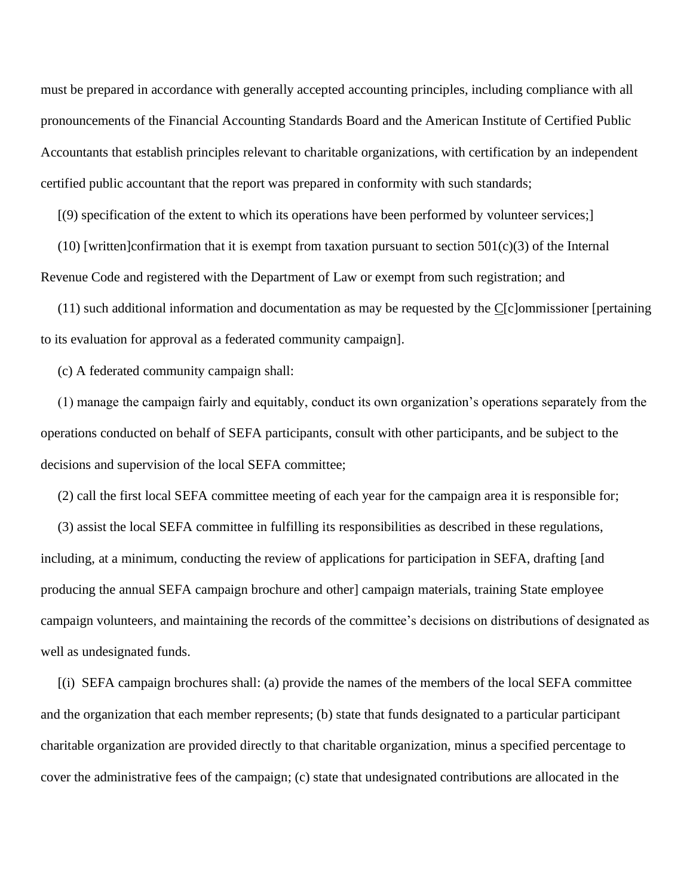must be prepared in accordance with generally accepted accounting principles, including compliance with all pronouncements of the Financial Accounting Standards Board and the American Institute of Certified Public Accountants that establish principles relevant to charitable organizations, with certification by an independent certified public accountant that the report was prepared in conformity with such standards;

[(9) specification of the extent to which its operations have been performed by volunteer services;]

(10) [written]confirmation that it is exempt from taxation pursuant to section  $501(c)(3)$  of the Internal Revenue Code and registered with the Department of Law or exempt from such registration; and

 (11) such additional information and documentation as may be requested by the C[c]ommissioner [pertaining to its evaluation for approval as a federated community campaign].

(c) A federated community campaign shall:

 (1) manage the campaign fairly and equitably, conduct its own organization's operations separately from the operations conducted on behalf of SEFA participants, consult with other participants, and be subject to the decisions and supervision of the local SEFA committee;

(2) call the first local SEFA committee meeting of each year for the campaign area it is responsible for;

 (3) assist the local SEFA committee in fulfilling its responsibilities as described in these regulations, including, at a minimum, conducting the review of applications for participation in SEFA, drafting [and producing the annual SEFA campaign brochure and other] campaign materials, training State employee campaign volunteers, and maintaining the records of the committee's decisions on distributions of designated as well as undesignated funds.

 [(i) SEFA campaign brochures shall: (a) provide the names of the members of the local SEFA committee and the organization that each member represents; (b) state that funds designated to a particular participant charitable organization are provided directly to that charitable organization, minus a specified percentage to cover the administrative fees of the campaign; (c) state that undesignated contributions are allocated in the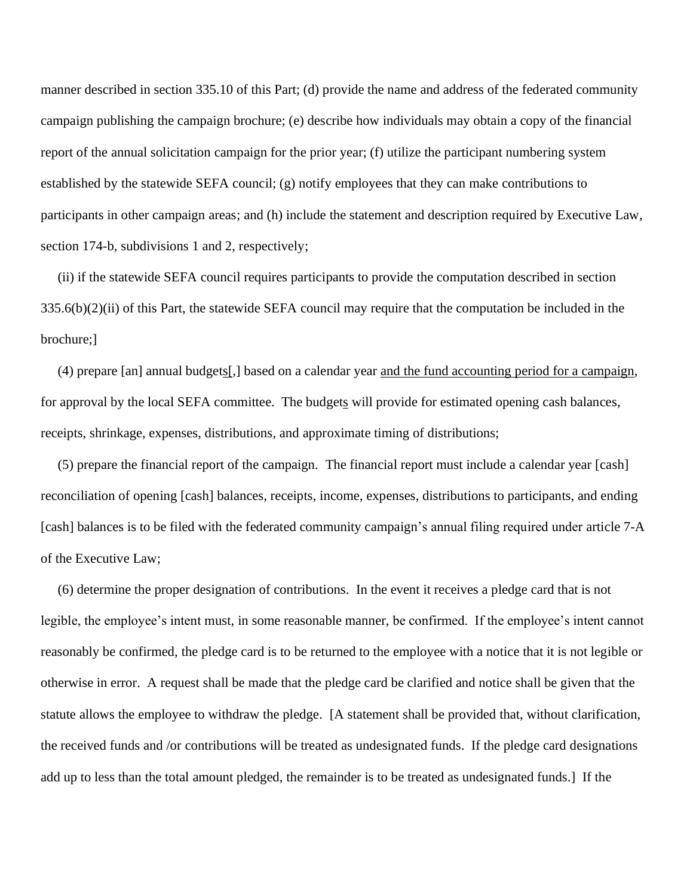manner described in section 335.10 of this Part; (d) provide the name and address of the federated community campaign publishing the campaign brochure; (e) describe how individuals may obtain a copy of the financial report of the annual solicitation campaign for the prior year; (f) utilize the participant numbering system established by the statewide SEFA council; (g) notify employees that they can make contributions to participants in other campaign areas; and (h) include the statement and description required by Executive Law, section 174-b, subdivisions 1 and 2, respectively;

 (ii) if the statewide SEFA council requires participants to provide the computation described in section 335.6(b)(2)(ii) of this Part, the statewide SEFA council may require that the computation be included in the brochure;]

 (4) prepare [an] annual budgets[,] based on a calendar year and the fund accounting period for a campaign, for approval by the local SEFA committee. The budgets will provide for estimated opening cash balances, receipts, shrinkage, expenses, distributions, and approximate timing of distributions;

 (5) prepare the financial report of the campaign. The financial report must include a calendar year [cash] reconciliation of opening [cash] balances, receipts, income, expenses, distributions to participants, and ending [cash] balances is to be filed with the federated community campaign's annual filing required under article 7-A of the Executive Law;

 (6) determine the proper designation of contributions. In the event it receives a pledge card that is not legible, the employee's intent must, in some reasonable manner, be confirmed. If the employee's intent cannot reasonably be confirmed, the pledge card is to be returned to the employee with a notice that it is not legible or otherwise in error. A request shall be made that the pledge card be clarified and notice shall be given that the statute allows the employee to withdraw the pledge. [A statement shall be provided that, without clarification, the received funds and /or contributions will be treated as undesignated funds. If the pledge card designations add up to less than the total amount pledged, the remainder is to be treated as undesignated funds.] If the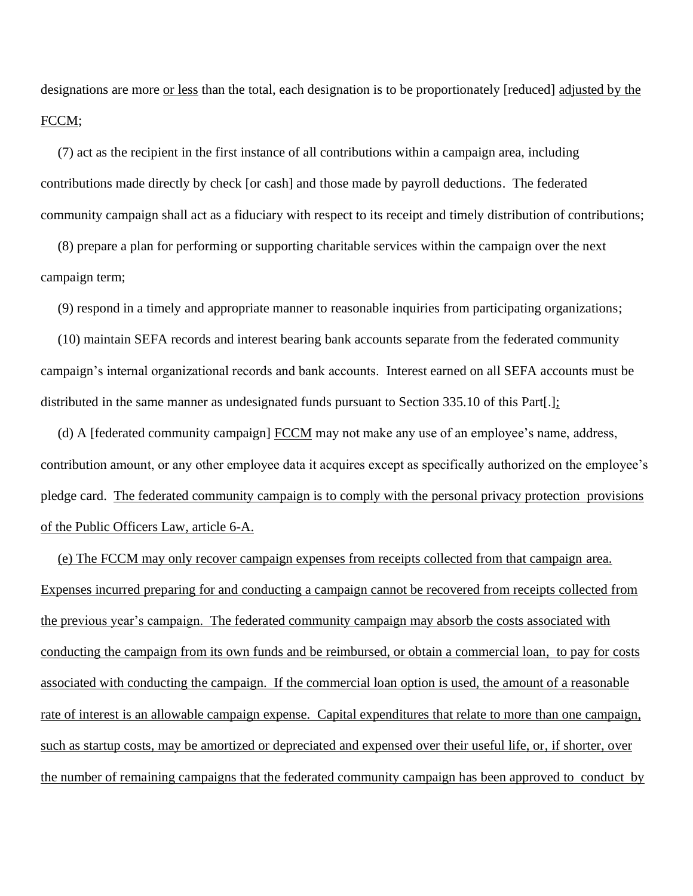designations are more <u>or less</u> than the total, each designation is to be proportionately [reduced] adjusted by the FCCM;

 (7) act as the recipient in the first instance of all contributions within a campaign area, including contributions made directly by check [or cash] and those made by payroll deductions. The federated community campaign shall act as a fiduciary with respect to its receipt and timely distribution of contributions;

 (8) prepare a plan for performing or supporting charitable services within the campaign over the next campaign term;

(9) respond in a timely and appropriate manner to reasonable inquiries from participating organizations;

 (10) maintain SEFA records and interest bearing bank accounts separate from the federated community campaign's internal organizational records and bank accounts. Interest earned on all SEFA accounts must be distributed in the same manner as undesignated funds pursuant to Section 335.10 of this Part[.];

(d) A [federated community campaign]  $\overline{FCCM}$  may not make any use of an employee's name, address, contribution amount, or any other employee data it acquires except as specifically authorized on the employee's pledge card. The federated community campaign is to comply with the personal privacy protection provisions of the Public Officers Law, article 6-A.

 (e) The FCCM may only recover campaign expenses from receipts collected from that campaign area. Expenses incurred preparing for and conducting a campaign cannot be recovered from receipts collected from the previous year's campaign. The federated community campaign may absorb the costs associated with conducting the campaign from its own funds and be reimbursed, or obtain a commercial loan, to pay for costs associated with conducting the campaign. If the commercial loan option is used, the amount of a reasonable rate of interest is an allowable campaign expense. Capital expenditures that relate to more than one campaign, such as startup costs, may be amortized or depreciated and expensed over their useful life, or, if shorter, over the number of remaining campaigns that the federated community campaign has been approved to conduct by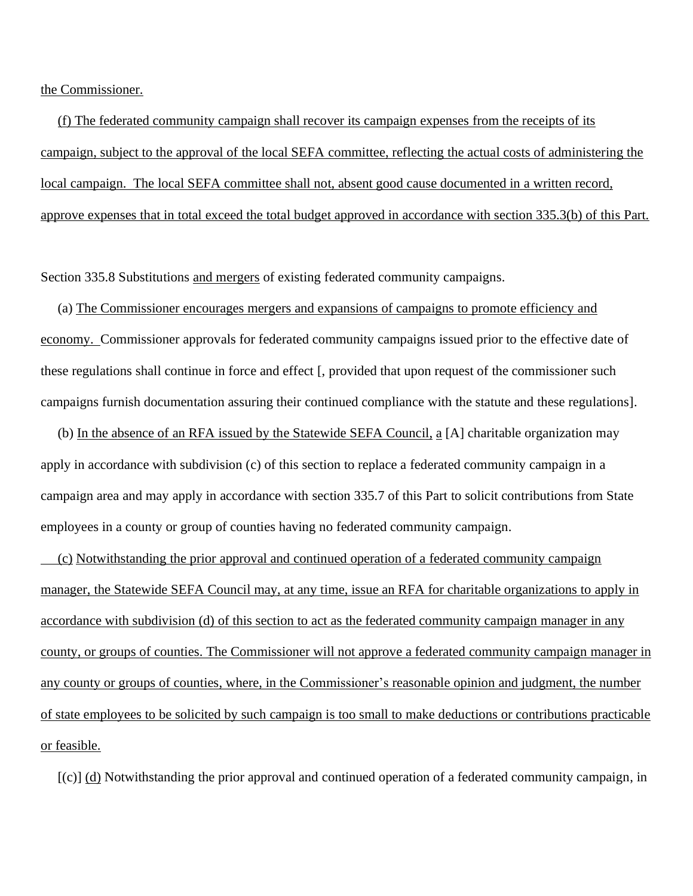the Commissioner.

 (f) The federated community campaign shall recover its campaign expenses from the receipts of its campaign, subject to the approval of the local SEFA committee, reflecting the actual costs of administering the local campaign. The local SEFA committee shall not, absent good cause documented in a written record, approve expenses that in total exceed the total budget approved in accordance with section 335.3(b) of this Part.

Section 335.8 Substitutions and mergers of existing federated community campaigns.

 (a) The Commissioner encourages mergers and expansions of campaigns to promote efficiency and economy. Commissioner approvals for federated community campaigns issued prior to the effective date of these regulations shall continue in force and effect [, provided that upon request of the commissioner such campaigns furnish documentation assuring their continued compliance with the statute and these regulations].

 (b) In the absence of an RFA issued by the Statewide SEFA Council, a [A] charitable organization may apply in accordance with subdivision (c) of this section to replace a federated community campaign in a campaign area and may apply in accordance with section 335.7 of this Part to solicit contributions from State employees in a county or group of counties having no federated community campaign.

 (c) Notwithstanding the prior approval and continued operation of a federated community campaign manager, the Statewide SEFA Council may, at any time, issue an RFA for charitable organizations to apply in accordance with subdivision (d) of this section to act as the federated community campaign manager in any county, or groups of counties. The Commissioner will not approve a federated community campaign manager in any county or groups of counties, where, in the Commissioner's reasonable opinion and judgment, the number of state employees to be solicited by such campaign is too small to make deductions or contributions practicable or feasible.

 $[(c)]$  (d) Notwithstanding the prior approval and continued operation of a federated community campaign, in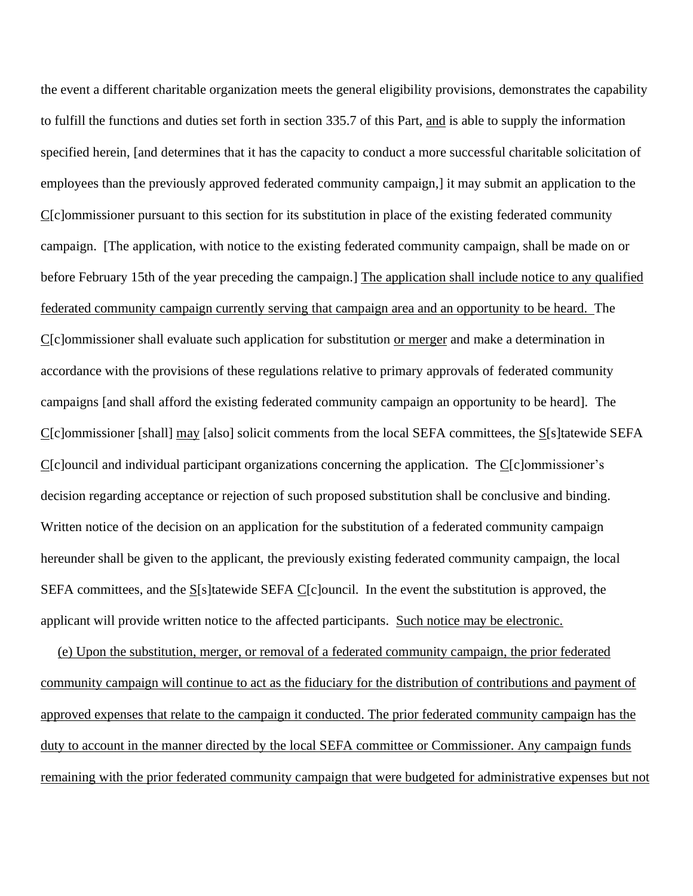the event a different charitable organization meets the general eligibility provisions, demonstrates the capability to fulfill the functions and duties set forth in section 335.7 of this Part, and is able to supply the information specified herein, [and determines that it has the capacity to conduct a more successful charitable solicitation of employees than the previously approved federated community campaign,] it may submit an application to the C[c]ommissioner pursuant to this section for its substitution in place of the existing federated community campaign. [The application, with notice to the existing federated community campaign, shall be made on or before February 15th of the year preceding the campaign.] The application shall include notice to any qualified federated community campaign currently serving that campaign area and an opportunity to be heard. The C[c]ommissioner shall evaluate such application for substitution or merger and make a determination in accordance with the provisions of these regulations relative to primary approvals of federated community campaigns [and shall afford the existing federated community campaign an opportunity to be heard]. The C[c]ommissioner [shall] may [also] solicit comments from the local SEFA committees, the S[s]tatewide SEFA C[c]ouncil and individual participant organizations concerning the application. The C[c]ommissioner's decision regarding acceptance or rejection of such proposed substitution shall be conclusive and binding. Written notice of the decision on an application for the substitution of a federated community campaign hereunder shall be given to the applicant, the previously existing federated community campaign, the local SEFA committees, and the  $S[**s**]$ tatewide SEFA C[c]ouncil. In the event the substitution is approved, the applicant will provide written notice to the affected participants. Such notice may be electronic.

 (e) Upon the substitution, merger, or removal of a federated community campaign, the prior federated community campaign will continue to act as the fiduciary for the distribution of contributions and payment of approved expenses that relate to the campaign it conducted. The prior federated community campaign has the duty to account in the manner directed by the local SEFA committee or Commissioner. Any campaign funds remaining with the prior federated community campaign that were budgeted for administrative expenses but not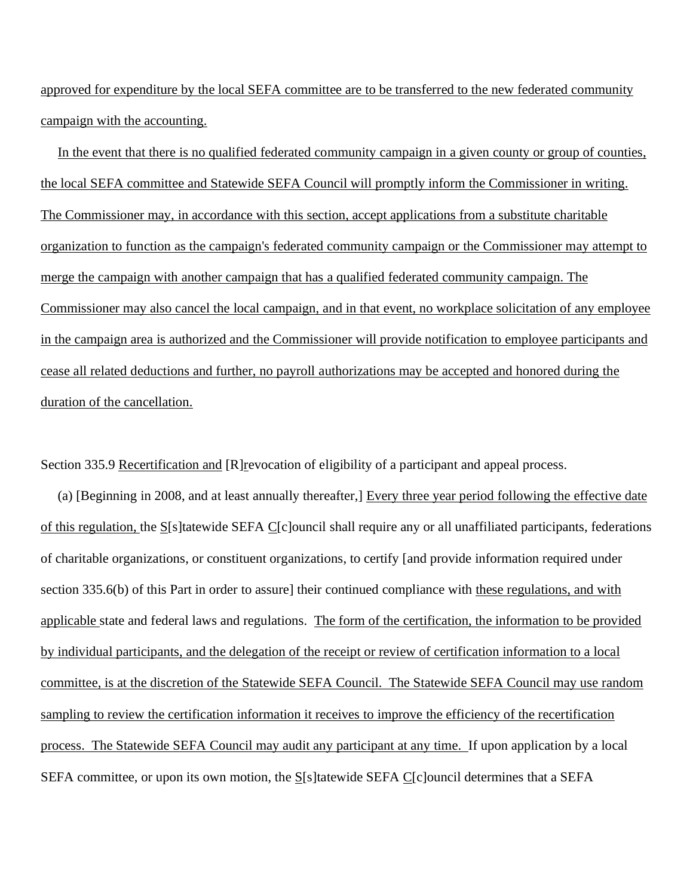approved for expenditure by the local SEFA committee are to be transferred to the new federated community campaign with the accounting.

 In the event that there is no qualified federated community campaign in a given county or group of counties, the local SEFA committee and Statewide SEFA Council will promptly inform the Commissioner in writing. The Commissioner may, in accordance with this section, accept applications from a substitute charitable organization to function as the campaign's federated community campaign or the Commissioner may attempt to merge the campaign with another campaign that has a qualified federated community campaign. The Commissioner may also cancel the local campaign, and in that event, no workplace solicitation of any employee in the campaign area is authorized and the Commissioner will provide notification to employee participants and cease all related deductions and further, no payroll authorizations may be accepted and honored during the duration of the cancellation.

Section 335.9 Recertification and [R]revocation of eligibility of a participant and appeal process.

 (a) [Beginning in 2008, and at least annually thereafter,] Every three year period following the effective date of this regulation, the S[s]tatewide SEFA C[c]ouncil shall require any or all unaffiliated participants, federations of charitable organizations, or constituent organizations, to certify [and provide information required under section 335.6(b) of this Part in order to assure] their continued compliance with these regulations, and with applicable state and federal laws and regulations. The form of the certification, the information to be provided by individual participants, and the delegation of the receipt or review of certification information to a local committee, is at the discretion of the Statewide SEFA Council. The Statewide SEFA Council may use random sampling to review the certification information it receives to improve the efficiency of the recertification process. The Statewide SEFA Council may audit any participant at any time. If upon application by a local SEFA committee, or upon its own motion, the  $S[**s**]$  tatewide SEFA C[c]ouncil determines that a SEFA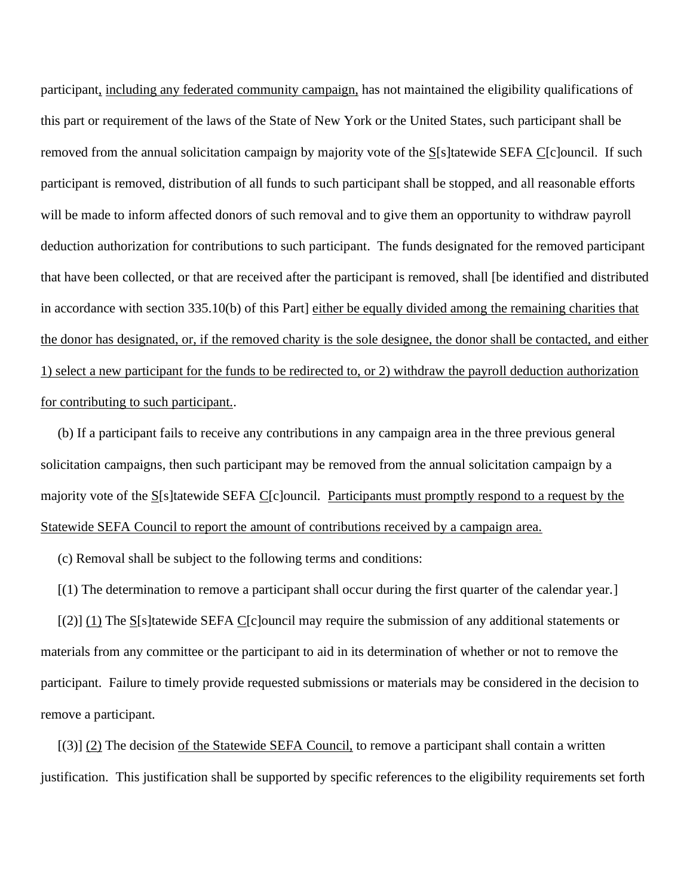participant, including any federated community campaign, has not maintained the eligibility qualifications of this part or requirement of the laws of the State of New York or the United States, such participant shall be removed from the annual solicitation campaign by majority vote of the S[s]tatewide SEFA C[c]ouncil. If such participant is removed, distribution of all funds to such participant shall be stopped, and all reasonable efforts will be made to inform affected donors of such removal and to give them an opportunity to withdraw payroll deduction authorization for contributions to such participant. The funds designated for the removed participant that have been collected, or that are received after the participant is removed, shall [be identified and distributed in accordance with section 335.10(b) of this Part] either be equally divided among the remaining charities that the donor has designated, or, if the removed charity is the sole designee, the donor shall be contacted, and either 1) select a new participant for the funds to be redirected to, or 2) withdraw the payroll deduction authorization for contributing to such participant..

 (b) If a participant fails to receive any contributions in any campaign area in the three previous general solicitation campaigns, then such participant may be removed from the annual solicitation campaign by a majority vote of the S[s]tatewide SEFA C[c]ouncil. Participants must promptly respond to a request by the Statewide SEFA Council to report the amount of contributions received by a campaign area.

(c) Removal shall be subject to the following terms and conditions:

[(1) The determination to remove a participant shall occur during the first quarter of the calendar year.]

 $\lceil (2) \rceil$  (1) The S[s]tatewide SEFA C[c]ouncil may require the submission of any additional statements or materials from any committee or the participant to aid in its determination of whether or not to remove the participant. Failure to timely provide requested submissions or materials may be considered in the decision to remove a participant.

 $[(3)]$  (2) The decision of the Statewide SEFA Council, to remove a participant shall contain a written justification. This justification shall be supported by specific references to the eligibility requirements set forth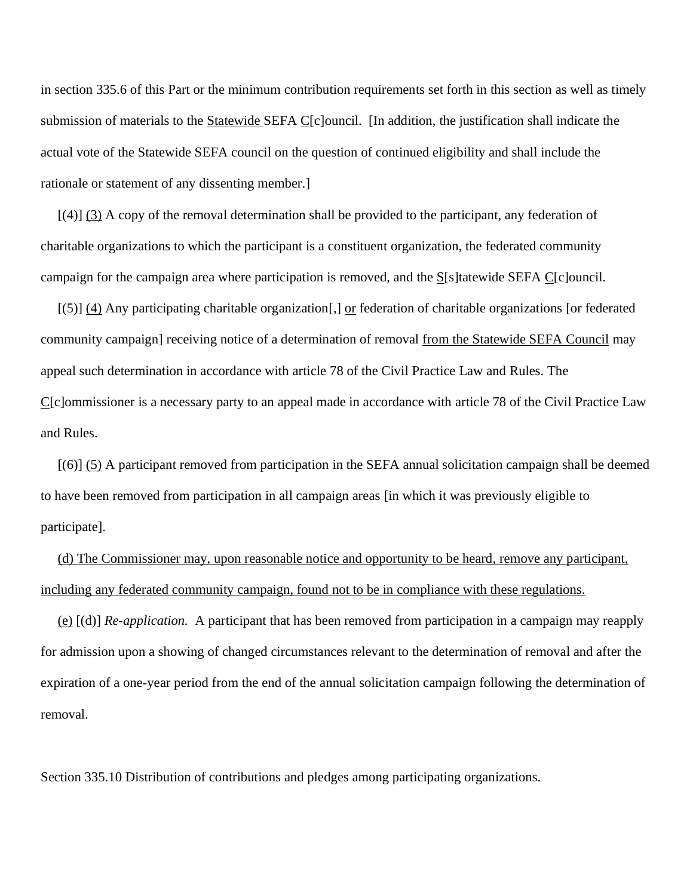in section 335.6 of this Part or the minimum contribution requirements set forth in this section as well as timely submission of materials to the Statewide SEFA C[c]ouncil. [In addition, the justification shall indicate the actual vote of the Statewide SEFA council on the question of continued eligibility and shall include the rationale or statement of any dissenting member.]

 [(4)] (3) A copy of the removal determination shall be provided to the participant, any federation of charitable organizations to which the participant is a constituent organization, the federated community campaign for the campaign area where participation is removed, and the S[s]tatewide SEFA C[c]ouncil.

 [(5)] (4) Any participating charitable organization[,] or federation of charitable organizations [or federated community campaign] receiving notice of a determination of removal from the Statewide SEFA Council may appeal such determination in accordance with article 78 of the Civil Practice Law and Rules. The C[c]ommissioner is a necessary party to an appeal made in accordance with article 78 of the Civil Practice Law and Rules.

 [(6)] (5) A participant removed from participation in the SEFA annual solicitation campaign shall be deemed to have been removed from participation in all campaign areas [in which it was previously eligible to participate].

 (d) The Commissioner may, upon reasonable notice and opportunity to be heard, remove any participant, including any federated community campaign, found not to be in compliance with these regulations.

 (e) [(d)] *Re-application.* A participant that has been removed from participation in a campaign may reapply for admission upon a showing of changed circumstances relevant to the determination of removal and after the expiration of a one-year period from the end of the annual solicitation campaign following the determination of removal.

Section 335.10 Distribution of contributions and pledges among participating organizations.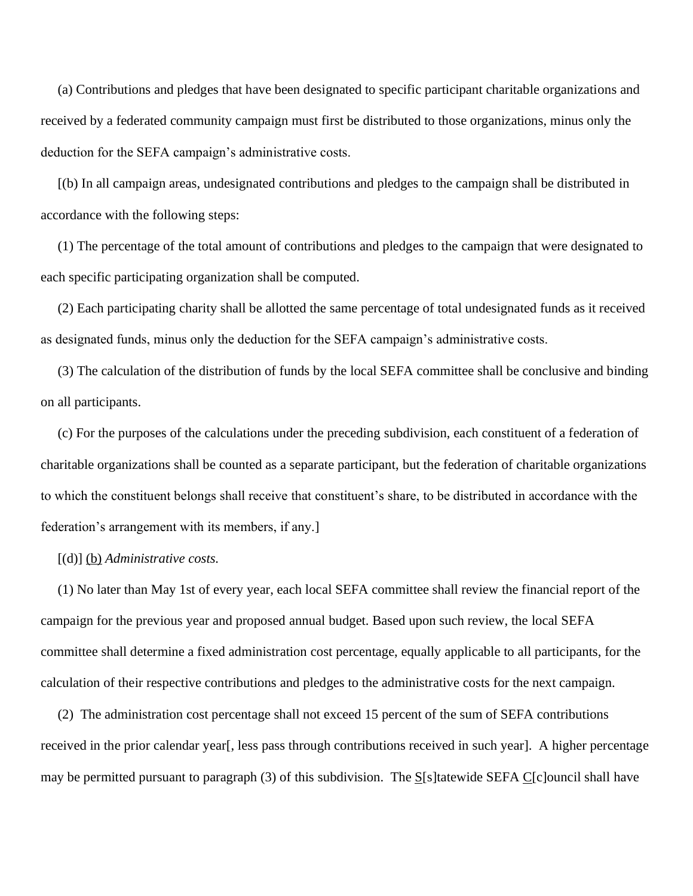(a) Contributions and pledges that have been designated to specific participant charitable organizations and received by a federated community campaign must first be distributed to those organizations, minus only the deduction for the SEFA campaign's administrative costs.

 [(b) In all campaign areas, undesignated contributions and pledges to the campaign shall be distributed in accordance with the following steps:

 (1) The percentage of the total amount of contributions and pledges to the campaign that were designated to each specific participating organization shall be computed.

 (2) Each participating charity shall be allotted the same percentage of total undesignated funds as it received as designated funds, minus only the deduction for the SEFA campaign's administrative costs.

 (3) The calculation of the distribution of funds by the local SEFA committee shall be conclusive and binding on all participants.

 (c) For the purposes of the calculations under the preceding subdivision, each constituent of a federation of charitable organizations shall be counted as a separate participant, but the federation of charitable organizations to which the constituent belongs shall receive that constituent's share, to be distributed in accordance with the federation's arrangement with its members, if any.]

#### [(d)] (b) *Administrative costs.*

 (1) No later than May 1st of every year, each local SEFA committee shall review the financial report of the campaign for the previous year and proposed annual budget. Based upon such review, the local SEFA committee shall determine a fixed administration cost percentage, equally applicable to all participants, for the calculation of their respective contributions and pledges to the administrative costs for the next campaign.

 (2) The administration cost percentage shall not exceed 15 percent of the sum of SEFA contributions received in the prior calendar year[, less pass through contributions received in such year]. A higher percentage may be permitted pursuant to paragraph (3) of this subdivision. The  $S[*s*]$  tatewide SEFA  $C[*c*]$  ouncil shall have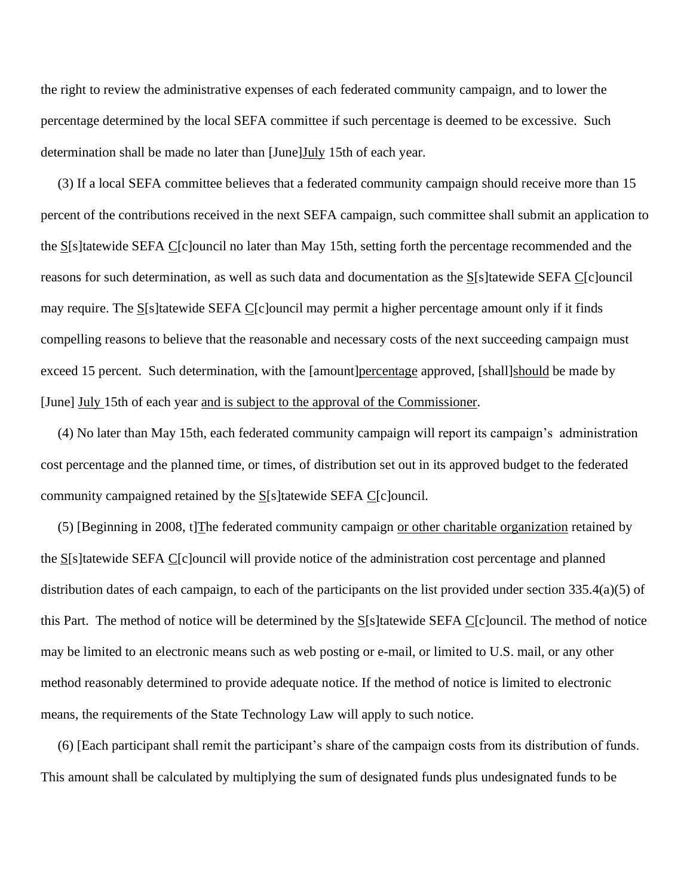the right to review the administrative expenses of each federated community campaign, and to lower the percentage determined by the local SEFA committee if such percentage is deemed to be excessive. Such determination shall be made no later than [June]July 15th of each year.

 (3) If a local SEFA committee believes that a federated community campaign should receive more than 15 percent of the contributions received in the next SEFA campaign, such committee shall submit an application to the S[s]tatewide SEFA C[c]ouncil no later than May 15th, setting forth the percentage recommended and the reasons for such determination, as well as such data and documentation as the S[s]tatewide SEFA C[c]ouncil may require. The S[s]tatewide SEFA C[c]ouncil may permit a higher percentage amount only if it finds compelling reasons to believe that the reasonable and necessary costs of the next succeeding campaign must exceed 15 percent. Such determination, with the [amount]percentage approved, [shall]should be made by [June] July 15th of each year and is subject to the approval of the Commissioner.

 (4) No later than May 15th, each federated community campaign will report its campaign's administration cost percentage and the planned time, or times, of distribution set out in its approved budget to the federated community campaigned retained by the  $S[<sub>s</sub>$  [cancill] community campaigned retained by the  $S[<sub>s</sub>$  [cancill] community

 (5) [Beginning in 2008, t]The federated community campaign or other charitable organization retained by the S[s]tatewide SEFA C[c]ouncil will provide notice of the administration cost percentage and planned distribution dates of each campaign, to each of the participants on the list provided under section 335.4(a)(5) of this Part. The method of notice will be determined by the S[s]tatewide SEFA C[c]ouncil. The method of notice may be limited to an electronic means such as web posting or e-mail, or limited to U.S. mail, or any other method reasonably determined to provide adequate notice. If the method of notice is limited to electronic means, the requirements of the State Technology Law will apply to such notice.

 (6) [Each participant shall remit the participant's share of the campaign costs from its distribution of funds. This amount shall be calculated by multiplying the sum of designated funds plus undesignated funds to be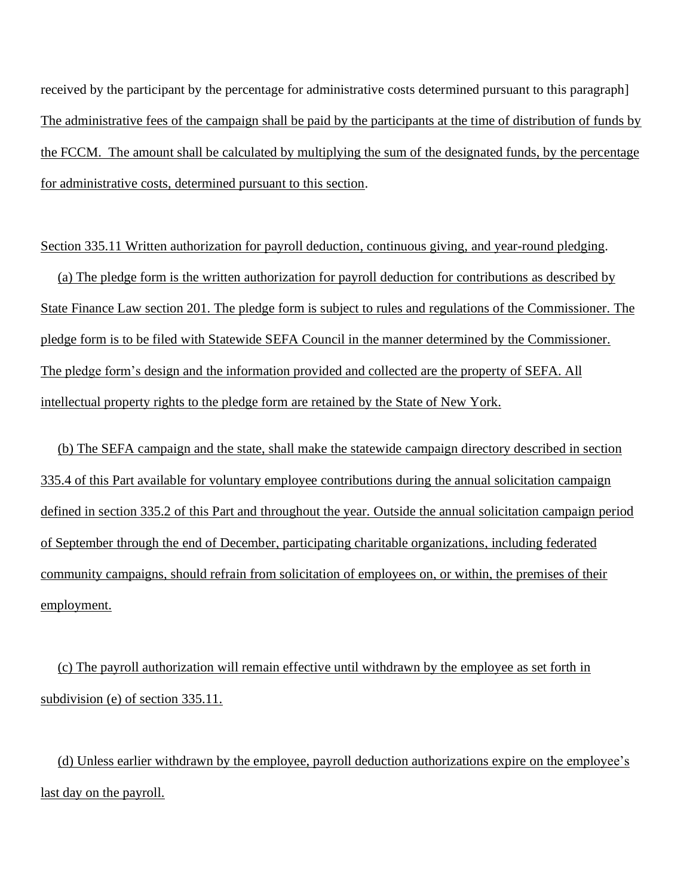received by the participant by the percentage for administrative costs determined pursuant to this paragraph] The administrative fees of the campaign shall be paid by the participants at the time of distribution of funds by the FCCM. The amount shall be calculated by multiplying the sum of the designated funds, by the percentage for administrative costs, determined pursuant to this section.

Section 335.11 Written authorization for payroll deduction, continuous giving, and year-round pledging.

 (a) The pledge form is the written authorization for payroll deduction for contributions as described by State Finance Law section 201. The pledge form is subject to rules and regulations of the Commissioner. The pledge form is to be filed with Statewide SEFA Council in the manner determined by the Commissioner. The pledge form's design and the information provided and collected are the property of SEFA. All intellectual property rights to the pledge form are retained by the State of New York.

 (b) The SEFA campaign and the state, shall make the statewide campaign directory described in section 335.4 of this Part available for voluntary employee contributions during the annual solicitation campaign defined in section 335.2 of this Part and throughout the year. Outside the annual solicitation campaign period of September through the end of December, participating charitable organizations, including federated community campaigns, should refrain from solicitation of employees on, or within, the premises of their employment.

 (c) The payroll authorization will remain effective until withdrawn by the employee as set forth in subdivision (e) of section 335.11.

 (d) Unless earlier withdrawn by the employee, payroll deduction authorizations expire on the employee's last day on the payroll.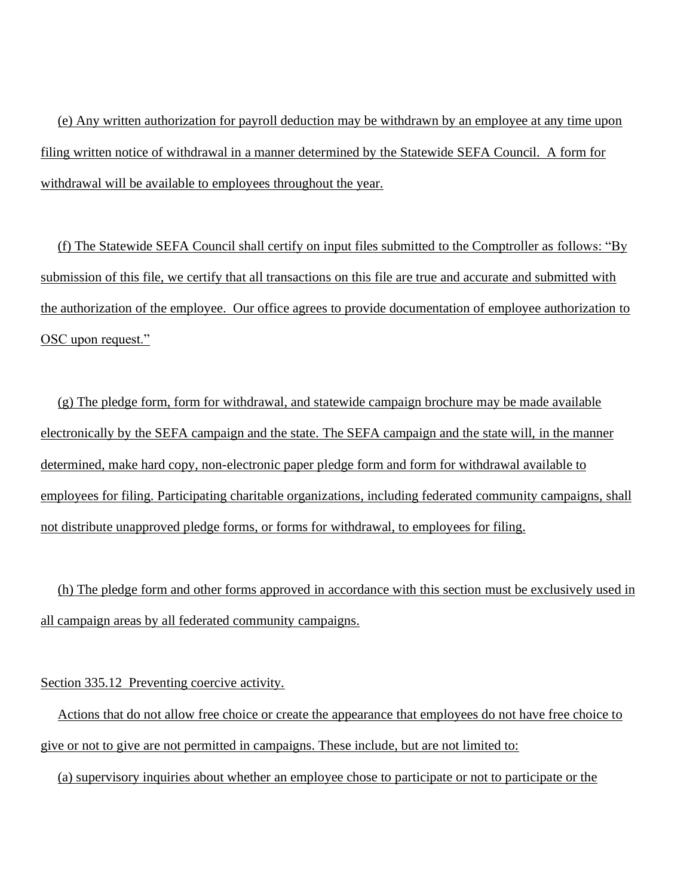(e) Any written authorization for payroll deduction may be withdrawn by an employee at any time upon filing written notice of withdrawal in a manner determined by the Statewide SEFA Council. A form for withdrawal will be available to employees throughout the year.

 (f) The Statewide SEFA Council shall certify on input files submitted to the Comptroller as follows: "By submission of this file, we certify that all transactions on this file are true and accurate and submitted with the authorization of the employee. Our office agrees to provide documentation of employee authorization to OSC upon request."

 (g) The pledge form, form for withdrawal, and statewide campaign brochure may be made available electronically by the SEFA campaign and the state. The SEFA campaign and the state will, in the manner determined, make hard copy, non-electronic paper pledge form and form for withdrawal available to employees for filing. Participating charitable organizations, including federated community campaigns, shall not distribute unapproved pledge forms, or forms for withdrawal, to employees for filing.

 (h) The pledge form and other forms approved in accordance with this section must be exclusively used in all campaign areas by all federated community campaigns.

### Section 335.12 Preventing coercive activity.

 Actions that do not allow free choice or create the appearance that employees do not have free choice to give or not to give are not permitted in campaigns. These include, but are not limited to:

(a) supervisory inquiries about whether an employee chose to participate or not to participate or the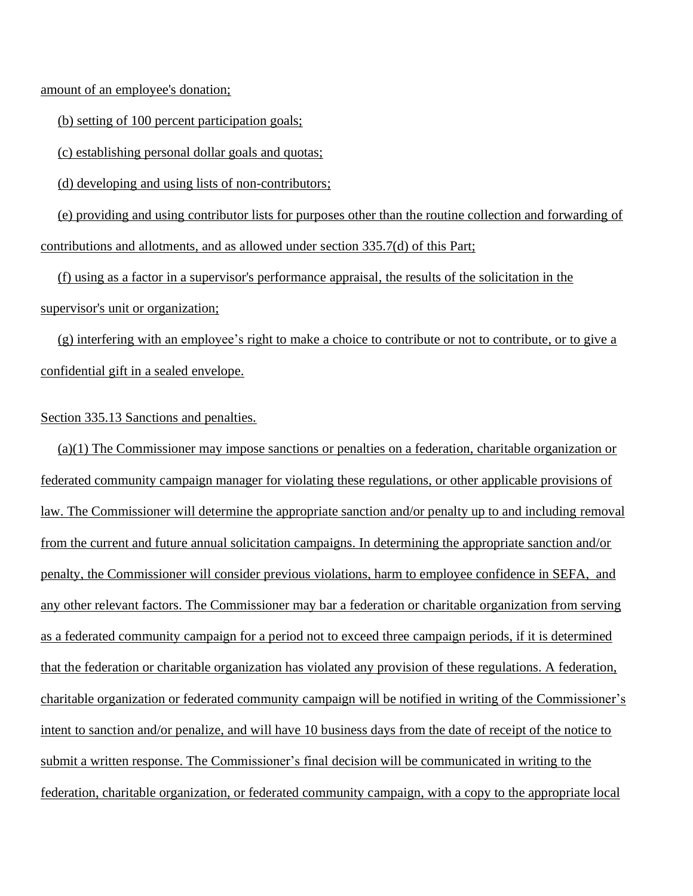amount of an employee's donation;

(b) setting of 100 percent participation goals;

(c) establishing personal dollar goals and quotas;

(d) developing and using lists of non-contributors;

 (e) providing and using contributor lists for purposes other than the routine collection and forwarding of contributions and allotments, and as allowed under section 335.7(d) of this Part;

 (f) using as a factor in a supervisor's performance appraisal, the results of the solicitation in the supervisor's unit or organization;

 (g) interfering with an employee's right to make a choice to contribute or not to contribute, or to give a confidential gift in a sealed envelope.

## Section 335.13 Sanctions and penalties.

 (a)(1) The Commissioner may impose sanctions or penalties on a federation, charitable organization or federated community campaign manager for violating these regulations, or other applicable provisions of law. The Commissioner will determine the appropriate sanction and/or penalty up to and including removal from the current and future annual solicitation campaigns. In determining the appropriate sanction and/or penalty, the Commissioner will consider previous violations, harm to employee confidence in SEFA, and any other relevant factors. The Commissioner may bar a federation or charitable organization from serving as a federated community campaign for a period not to exceed three campaign periods, if it is determined that the federation or charitable organization has violated any provision of these regulations. A federation, charitable organization or federated community campaign will be notified in writing of the Commissioner's intent to sanction and/or penalize, and will have 10 business days from the date of receipt of the notice to submit a written response. The Commissioner's final decision will be communicated in writing to the federation, charitable organization, or federated community campaign, with a copy to the appropriate local